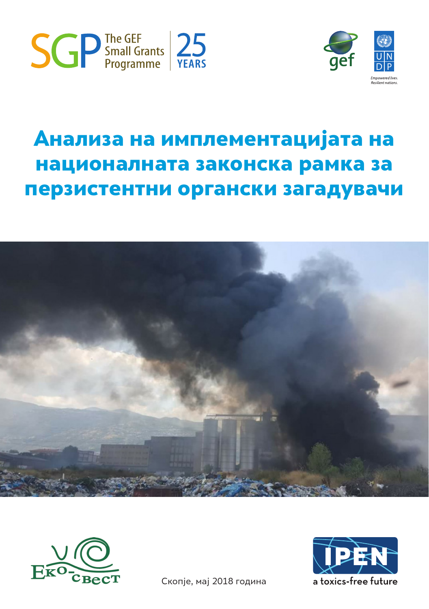



# Анализа на имплементацијата на националната законска рамка за перзистентни органски загадувачи







Скопје, мај 2018 година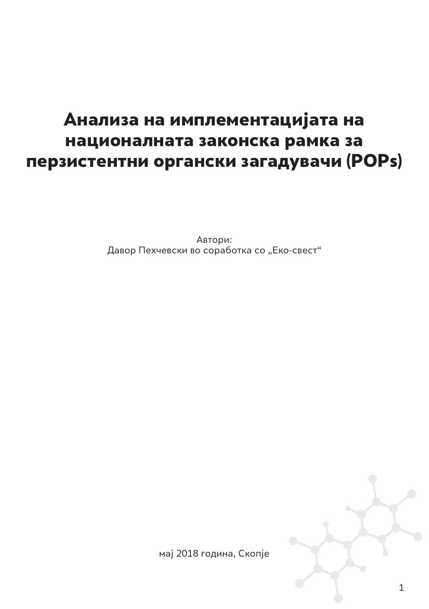## Анализа на имплементацијата на националната законска рамка за перзистентни органски загадувачи (POPs)

Автори: Давор Пехчевски во соработка со "Еко-свест"



мај 2018 година, Скопје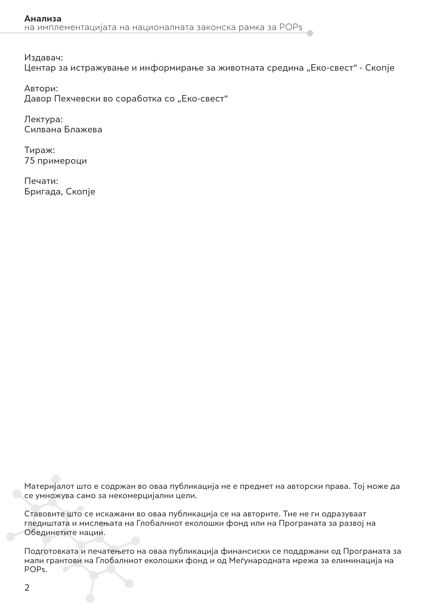Издавач: Центар за истражување и информирање за животната средина "Еко-свест" - Скопје

Автори: Давор Пехчевски во соработка со "Еко-свест"

Лектура: Силвана Блажева

Тираж: 75 примероци

Печати: Бригада, Скопје

Материјалот што е содржан во оваа публикација не е предмет на авторски права. Тој може да се умножува само за некомерцијални цели.

Ставовите што се искажани во оваа публикација се на авторите. Тие не ги одразуваат гледиштата и мислењата на Глобалниот еколошки фонд или на Програмата за развој на Обединетите нации.

Подготовката и печатењето на оваа публикација финансиски се поддржани од Програмата за мали грантови на Глобалниот еколошки фонд и од Меѓународната мрежа за елиминација на POPs.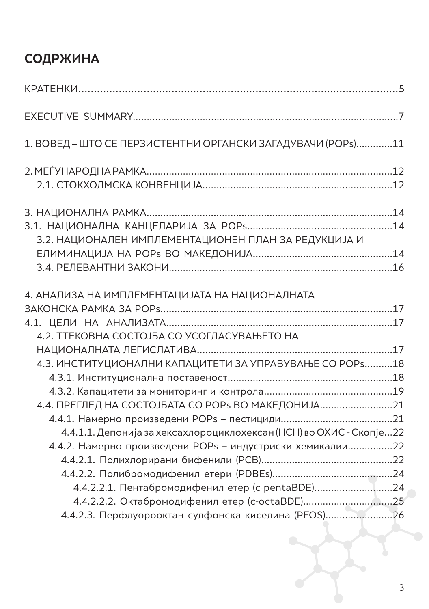## **СОДРЖИНА**

| 1. ВОВЕД - ШТО СЕ ПЕРЗИСТЕНТНИ ОРГАНСКИ ЗАГАДУВАЧИ (POPs)11         |  |
|---------------------------------------------------------------------|--|
|                                                                     |  |
|                                                                     |  |
|                                                                     |  |
|                                                                     |  |
| 3.2. НАЦИОНАЛЕН ИМПЛЕМЕНТАЦИОНЕН ПЛАН ЗА РЕДУКЦИЈА И                |  |
|                                                                     |  |
|                                                                     |  |
| 4. АНАЛИЗА НА ИМПЛЕМЕНТАЦИЈАТА НА НАЦИОНАЛНАТА                      |  |
|                                                                     |  |
|                                                                     |  |
| 4.2. ТТЕКОВНА СОСТОЈБА СО УСОГЛАСУВАЊЕТО НА                         |  |
|                                                                     |  |
| 4.3. ИНСТИТУЦИОНАЛНИ КАПАЦИТЕТИ ЗА УПРАВУВАЊЕ СО POPS18             |  |
|                                                                     |  |
|                                                                     |  |
| 4.4. ПРЕГЛЕД НА СОСТОЈБАТА СО POPs ВО МАКЕДОНИЈА21                  |  |
|                                                                     |  |
| 4.4.1.1. Депонија за хексахлороциклохексан (НСН) во ОХИС - Скопје22 |  |
| 4.4.2. Намерно произведени POPs - индустриски хемикалии22           |  |
|                                                                     |  |
|                                                                     |  |
| 4.4.2.2.1. Пентабромодифенил етер (с-pentaBDE)24                    |  |
|                                                                     |  |
| 4.4.2.3. Перфлуорооктан сулфонска киселина (PFOS)26                 |  |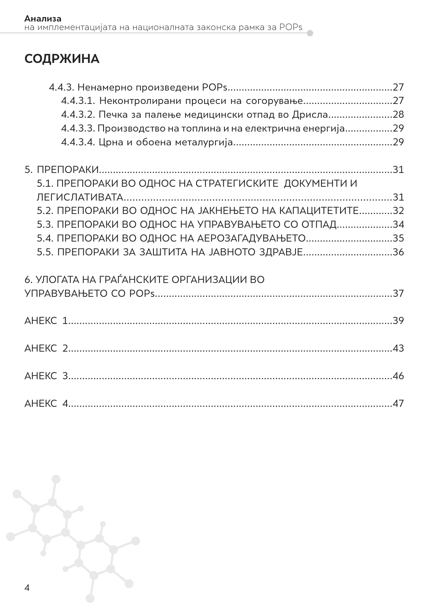## **СОДРЖИНА**

| 4.4.3.2. Печка за палење медицински отпад во Дрисла 28      |  |
|-------------------------------------------------------------|--|
| 4.4.3.3. Производство на топлина и на електрична енергија29 |  |
|                                                             |  |
|                                                             |  |
|                                                             |  |
| 5.1. ПРЕПОРАКИ ВО ОДНОС НА СТРАТЕГИСКИТЕ ДОКУМЕНТИ И        |  |
|                                                             |  |
| 5.2. ПРЕПОРАКИ ВО ОДНОС НА ЈАКНЕЊЕТО НА КАПАЦИТЕТИТЕ32      |  |
| 5.3. ПРЕПОРАКИ ВО ОДНОС НА УПРАВУВАЊЕТО СО ОТПАД34          |  |
| 5.4. ПРЕПОРАКИ ВО ОДНОС НА АЕРОЗАГАДУВАЊЕТО35               |  |
| 5.5. ПРЕПОРАКИ ЗА ЗАШТИТА НА ЈАВНОТО ЗДРАВЈЕ36              |  |
|                                                             |  |
| 6. УЛОГАТА НА ГРАЃАНСКИТЕ ОРГАНИЗАЦИИ ВО                    |  |
|                                                             |  |
|                                                             |  |
|                                                             |  |
|                                                             |  |
|                                                             |  |
|                                                             |  |
|                                                             |  |
|                                                             |  |
|                                                             |  |

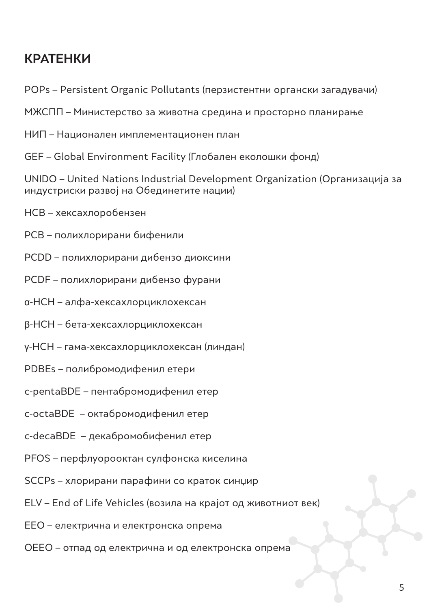## **КРАТЕНКИ**

- POPs Persistent Organic Pollutants (перзистентни органски загадувачи)
- МЖСПП Министерство за животна средина и просторно планирање
- НИП Национален имплементационен план
- GEF Global Environment Facility (Глобален еколошки фонд)

UNIDO – United Nations Industrial Development Organization (Организација за индустриски развој на Обединетите нации)

- HCB хексахлоробензен
- PCB полихлорирани бифенили
- PCDD полихлорирани дибензо диоксини
- PCDF полихлорирани дибензо фурани
- α-HCH алфа-хексахлорциклохексан
- β-HCH бета-хексахлорциклохексан
- γ-HCH гама-хексахлорциклохексан (линдан)
- PDBEs полибромодифенил етери
- c-pentaBDE пентабромодифенил етер
- c-octaBDE октабромодифенил етер
- c-decaBDE декабромобифенил етер
- PFOS перфлуорооктан сулфонска киселина
- SCCPs хлорирани парафини со краток синџир
- ELV End of Life Vehicles (возила на крајот од животниот век)
- EEO електрична и електронска опрема
- ОЕЕО отпад од електрична и од електронска опрема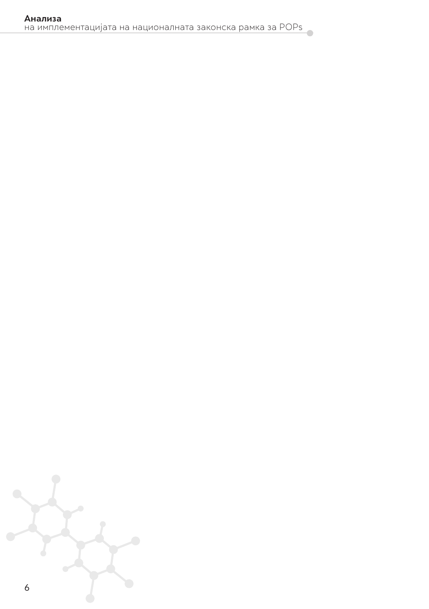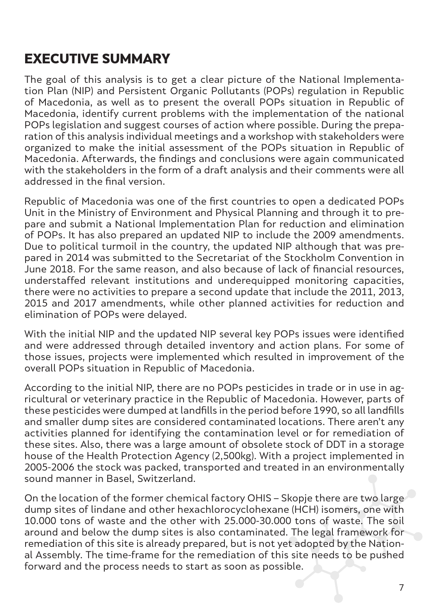## EXECUTIVE SUMMARY

The goal of this analysis is to get a clear picture of the National Implementation Plan (NIP) and Persistent Organic Pollutants (POPs) regulation in Republic of Macedonia, as well as to present the overall POPs situation in Republic of Macedonia, identify current problems with the implementation of the national POPs legislation and suggest courses of action where possible. During the preparation of this analysis individual meetings and a workshop with stakeholders were organized to make the initial assessment of the POPs situation in Republic of Macedonia. Afterwards, the findings and conclusions were again communicated with the stakeholders in the form of a draft analysis and their comments were all addressed in the final version.

Republic of Macedonia was one of the first countries to open a dedicated POPs Unit in the Ministry of Environment and Physical Planning and through it to prepare and submit a National Implementation Plan for reduction and elimination of POPs. It has also prepared an updated NIP to include the 2009 amendments. Due to political turmoil in the country, the updated NIP although that was prepared in 2014 was submitted to the Secretariat of the Stockholm Convention in June 2018. For the same reason, and also because of lack of financial resources, understaffed relevant institutions and underequipped monitoring capacities, there were no activities to prepare a second update that include the 2011, 2013, 2015 and 2017 amendments, while other planned activities for reduction and elimination of POPs were delayed.

With the initial NIP and the updated NIP several key POPs issues were identified and were addressed through detailed inventory and action plans. For some of those issues, projects were implemented which resulted in improvement of the overall POPs situation in Republic of Macedonia.

According to the initial NIP, there are no POPs pesticides in trade or in use in agricultural or veterinary practice in the Republic of Macedonia. However, parts of these pesticides were dumped at landfills in the period before 1990, so all landfills and smaller dump sites are considered contaminated locations. There aren't any activities planned for identifying the contamination level or for remediation of these sites. Also, there was a large amount of obsolete stock of DDT in a storage house of the Health Protection Agency (2,500kg). With a project implemented in 2005-2006 the stock was packed, transported and treated in an environmentally sound manner in Basel, Switzerland.

On the location of the former chemical factory OHIS – Skopje there are two large dump sites of lindane and other hexachlorocyclohexane (HCH) isomers, one with 10.000 tons of waste and the other with 25.000-30.000 tons of waste. The soil around and below the dump sites is also contaminated. The legal framework for remediation of this site is already prepared, but is not yet adopted by the National Assembly. The time-frame for the remediation of this site needs to be pushed forward and the process needs to start as soon as possible.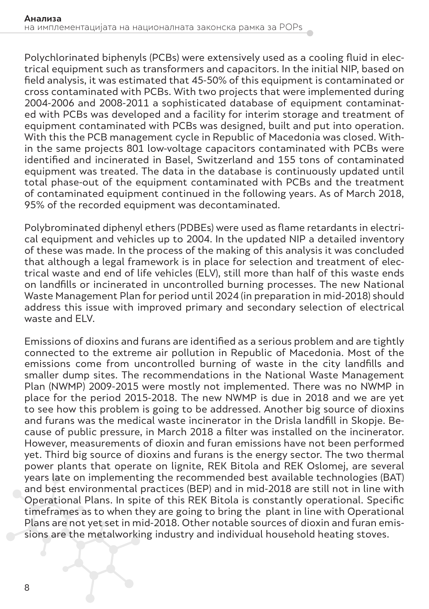Polychlorinated biphenyls (PCBs) were extensively used as a cooling fluid in electrical equipment such as transformers and capacitors. In the initial NIP, based on field analysis, it was estimated that 45-50% of this equipment is contaminated or cross contaminated with PCBs. With two projects that were implemented during 2004-2006 and 2008-2011 a sophisticated database of equipment contaminated with PCBs was developed and a facility for interim storage and treatment of equipment contaminated with PCBs was designed, built and put into operation. With this the PCB management cycle in Republic of Macedonia was closed. Within the same projects 801 low-voltage capacitors contaminated with PCBs were identified and incinerated in Basel, Switzerland and 155 tons of contaminated equipment was treated. The data in the database is continuously updated until total phase-out of the equipment contaminated with PCBs and the treatment of contaminated equipment continued in the following years. As of March 2018, 95% of the recorded equipment was decontaminated.

Polybrominated diphenyl ethers (PDBEs) were used as flame retardants in electrical equipment and vehicles up to 2004. In the updated NIP a detailed inventory of these was made. In the process of the making of this analysis it was concluded that although a legal framework is in place for selection and treatment of electrical waste and end of life vehicles (ELV), still more than half of this waste ends on landfills or incinerated in uncontrolled burning processes. The new National Waste Management Plan for period until 2024 (in preparation in mid-2018) should address this issue with improved primary and secondary selection of electrical waste and ELV.

Emissions of dioxins and furans are identified as a serious problem and are tightly connected to the extreme air pollution in Republic of Macedonia. Most of the emissions come from uncontrolled burning of waste in the city landfills and smaller dump sites. The recommendations in the National Waste Management Plan (NWMP) 2009-2015 were mostly not implemented. There was no NWMP in place for the period 2015-2018. The new NWMP is due in 2018 and we are yet to see how this problem is going to be addressed. Another big source of dioxins and furans was the medical waste incinerator in the Drisla landfill in Skopje. Because of public pressure, in March 2018 a filter was installed on the incinerator. However, measurements of dioxin and furan emissions have not been performed yet. Third big source of dioxins and furans is the energy sector. The two thermal power plants that operate on lignite, REK Bitola and REK Oslomej, are several years late on implementing the recommended best available technologies (BAT) and best environmental practices (BEP) and in mid-2018 are still not in line with Operational Plans. In spite of this REK Bitola is constantly operational. Specific timeframes as to when they are going to bring the plant in line with Operational Plans are not yet set in mid-2018. Other notable sources of dioxin and furan emissions are the metalworking industry and individual household heating stoves.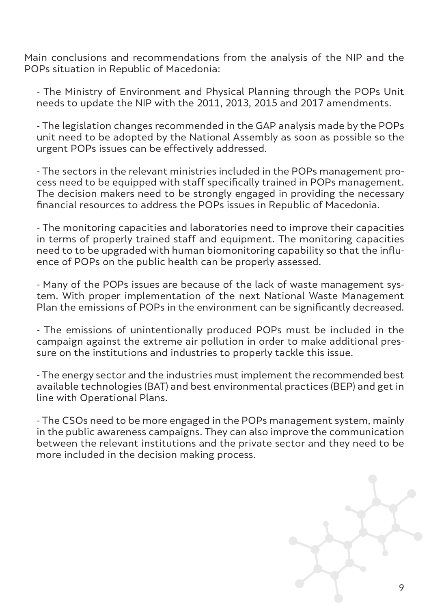Main conclusions and recommendations from the analysis of the NIP and the POPs situation in Republic of Macedonia:

- The Ministry of Environment and Physical Planning through the POPs Unit needs to update the NIP with the 2011, 2013, 2015 and 2017 amendments.

- The legislation changes recommended in the GAP analysis made by the POPs unit need to be adopted by the National Assembly as soon as possible so the urgent POPs issues can be effectively addressed.

- The sectors in the relevant ministries included in the POPs management process need to be equipped with staff specifically trained in POPs management. The decision makers need to be strongly engaged in providing the necessary financial resources to address the POPs issues in Republic of Macedonia.

- The monitoring capacities and laboratories need to improve their capacities in terms of properly trained staff and equipment. The monitoring capacities need to to be upgraded with human biomonitoring capability so that the influence of POPs on the public health can be properly assessed.

- Many of the POPs issues are because of the lack of waste management system. With proper implementation of the next National Waste Management Plan the emissions of POPs in the environment can be significantly decreased.

- The emissions of unintentionally produced POPs must be included in the campaign against the extreme air pollution in order to make additional pressure on the institutions and industries to properly tackle this issue.

- The energy sector and the industries must implement the recommended best available technologies (BAT) and best environmental practices (BEP) and get in line with Operational Plans.

- The CSOs need to be more engaged in the POPs management system, mainly in the public awareness campaigns. They can also improve the communication between the relevant institutions and the private sector and they need to be more included in the decision making process.

9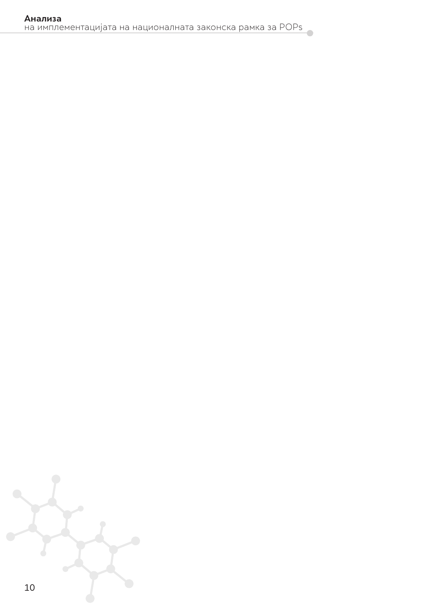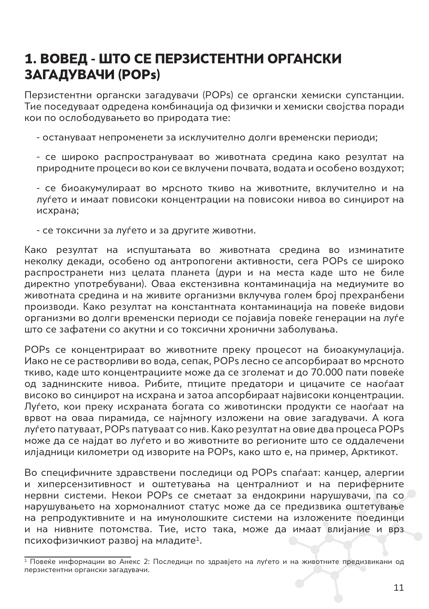## 1. ВОВЕД - ШТО СЕ ПЕРЗИСТЕНТНИ ОРГАНСКИ ЗАГАДУВАЧИ (POPs)

Перзистентни органски загадувачи (POPs) се органски хемиски супстанции. Тие поседуваат одредена комбинација од физички и хемиски својства поради кои по ослободувањето во природата тие:

- остануваат непроменети за исклучително долги временски периоди;

- се широко распространуваат во животната средина како резултат на природните процеси во кои се вклучени почвата, водата и особено воздухот;

- се биоакумулираат во мрсното ткиво на животните, вклучително и на луѓето и имаат повисоки концентрации на повисоки нивоа во синџирот на исхрана;

- се токсични за луѓето и за другите животни.

Како резултат на испуштањата во животната средина во изминатите неколку декади, особено од антропогени активности, сега POPs се широко распространети низ целата планета (дури и на места каде што не биле директно употребувани). Оваа екстензивна контаминација на медиумите во животната средина и на живите организми вклучува голем број прехранбени производи. Како резултат на константната контаминација на повеќе видови организми во долги временски периоди се појавија повеќе генерации на луѓе што се зафатени со акутни и со токсични хронични заболувања.

POPs се концентрираат во животните преку процесот на биоакумулација. Иако не се растворливи во вода, сепак, POPs лесно се апсорбираат во мрсното ткиво, каде што концентрациите може да се зголемат и до 70.000 пати повеќе од заднинските нивоа. Рибите, птиците предатори и цицачите се наоѓаат високо во синџирот на исхрана и затоа апсорбираат највисоки концентрации. Луѓето, кои преку исхраната богата со животински продукти се наоѓаат на врвот на оваа пирамида, се најмногу изложени на овие загадувачи. А кога луѓето патуваат, POPs патуваат со нив. Како резултат на овие два процеса POPs може да се најдат во луѓето и во животните во регионите што се оддалечени илјадници километри од изворите на POPs, како што е, на пример, Арктикот.

Во специфичните здравствени последици од POPs спаѓаат: канцер, алергии и хиперсензитивност и оштетувања на централниот и на периферните нервни системи. Некои POPs се сметаат за ендокрини нарушувачи, па со нарушувањето на хормоналниот статус може да се предизвика оштетување на репродуктивните и на имунолошките системи на изложените поединци и на нивните потомства. Тие, исто така, може да имаат влијание и врз психофизичкиот развој на младите1.

 $\frac{1}{1}$  Повеќе информации во Анекс 2: Последици по здравјето на луѓето и на животните предизвикани од перзистентни органски загадувачи.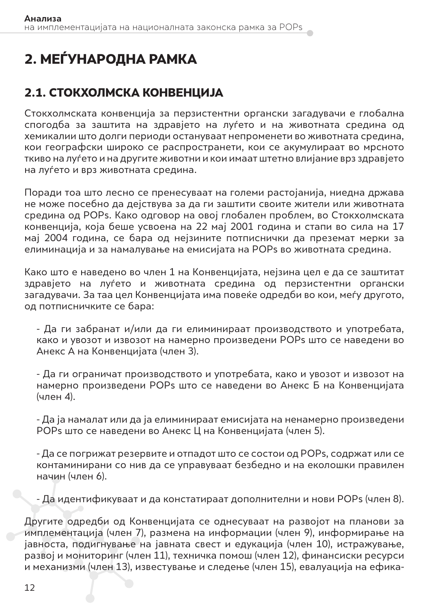## 2. МЕЃУНАРОДНА РАМКА

## 2.1. СТОКХОЛМСКА КОНВЕНЦИЈА

Стокхолмската конвенција за перзистентни органски загадувачи е глобална спогодба за заштита на здравјето на луѓето и на животната средина од хемикалии што долги периоди остануваат непроменети во животната средина, кои географски широко се распространети, кои се акумулираат во мрсното ткиво на луѓето и на другите животни и кои имаат штетно влијание врз здравјето на луѓето и врз животната средина.

Поради тоа што лесно се пренесуваат на големи растојанија, ниедна држава не може посебно да дејствува за да ги заштити своите жители или животната средина од POPs. Како одговор на овој глобален проблем, во Стокхолмската конвенција, која беше усвоена на 22 мај 2001 година и стапи во сила на 17 мај 2004 година, се бара од нејзините потписнички да преземат мерки за елиминација и за намалување на емисијата на POPs во животната средина.

Како што е наведено во член 1 на Конвенцијата, нејзина цел е да се заштитат здравјето на луѓето и животната средина од перзистентни органски загадувачи. За таа цел Конвенцијата има повеќе одредби во кои, меѓу другото, од потписничките се бара:

- Да ги забранат и/или да ги елиминираат производството и употребата, како и увозот и извозот на намерно произведени POPs што се наведени во Анекс А на Конвенцијата (член 3).

- Да ги ограничат производството и употребата, како и увозот и извозот на намерно произведени POPs што се наведени во Анекс Б на Конвенцијата (член 4).

- Да ја намалат или да ја елиминираат емисијата на ненамерно произведени POPs што се наведени во Анекс Ц на Конвенцијата (член 5).

- Да се погрижат резервите и отпадот што се состои од POPs, содржат или се контаминирани со нив да се управуваат безбедно и на еколошки правилен начин (член 6).

- Да идентификуваат и да констатираат дополнителни и нови POPs (член 8).

Другите одредби од Конвенцијата се однесуваат на развојот на планови за имплементација (член 7), размена на информации (член 9), информирање на јавноста, подигнување на јавната свест и едукација (член 10), истражување, развој и мониторинг (член 11), техничка помош (член 12), финансиски ресурси и механизми (член 13), известување и следење (член 15), евалуација на ефика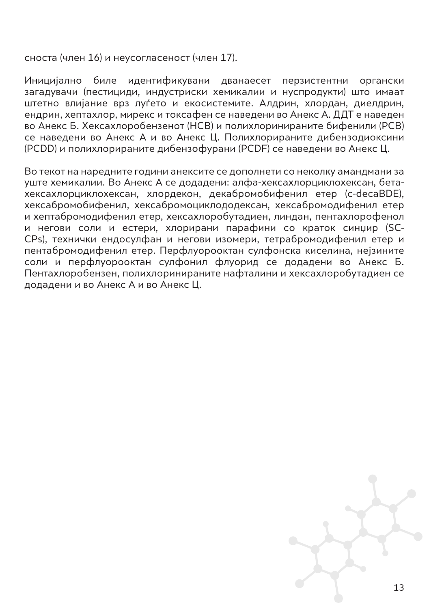сноста (член 16) и неусогласеност (член 17).

Иницијално биле идентификувани дванаесет перзистентни органски загадувачи (пестициди, индустриски хемикалии и нуспродукти) што имаат штетно влијание врз луѓето и екосистемите. Алдрин, хлордан, диелдрин, ендрин, хептахлор, мирекс и токсафен се наведени во Анекс А. ДДТ е наведен во Анекс Б. Хексахлоробензенот (HCB) и полихлоринираните бифенили (PCB) се наведени во Анекс А и во Анекс Ц. Полихлорираните дибензодиоксини (PCDD) и полихлорираните дибензофурани (PCDF) се наведени во Анекс Ц.

Во текот на наредните години анексите се дополнети со неколку амандмани за уште хемикалии. Во Анекс А се додадени: алфа-хексахлорциклохексан, бетахексахлорциклохексан, хлордекон, декабромобифенил етер (c-decaBDE), хексабромобифенил, хексабромоциклододексан, хексабромодифенил етер и хептабромодифенил етер, хексахлоробутадиен, линдан, пентахлорофенол и негови соли и естери, хлорирани парафини со краток синџир (SC-CPs), технички ендосулфан и негови изомери, тетрабромодифенил етер и пентабромодифенил етер. Перфлуорооктан сулфонска киселина, нејзините соли и перфлуорооктан сулфонил флуорид се додадени во Анекс Б. Пентахлоробензен, полихлоринираните нафталини и хексахлоробутадиен се додадени и во Анекс А и во Анекс Ц.

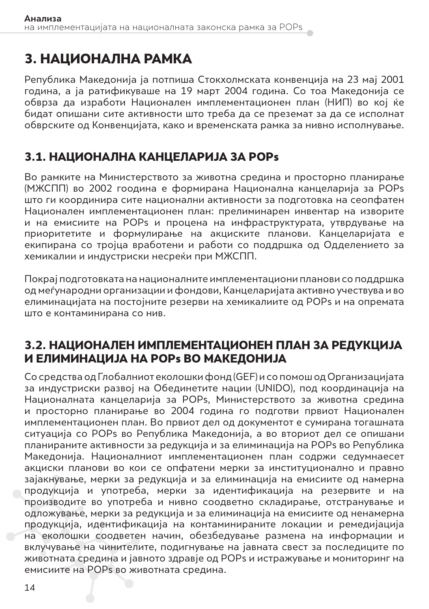## 3. НАЦИОНАЛНА РАМКА

Република Македонија ја потпиша Стокхолмската конвенција на 23 мај 2001 година, а ја ратификуваше на 19 март 2004 година. Со тоа Македонија се обврза да изработи Национален имплементационен план (НИП) во кој ќе бидат опишани сите активности што треба да се преземат за да се исполнат обврските од Конвенцијата, како и временската рамка за нивно исполнување.

### 3.1. НАЦИОНАЛНА КАНЦЕЛАРИЈА ЗА POPs

Во рамките на Министерството за животна средина и просторно планирање (МЖСПП) во 2002 гоодина е формирана Национална канцеларија за POPs што ги координира сите национални активности за подготовка на сеопфатен Национален имплементационен план: прелиминарен инвентар на изворите и на емисиите на POPs и процена на инфраструктурата, утврдување на приоритетите и формулирање на акциските планови. Канцеларијата е екипирана со тројца вработени и работи со поддршка од Одделението за хемикалии и индустриски несреќи при МЖСПП.

Покрај подготовката на националните имплементациони планови со поддршка од меѓународни организации и фондови, Канцеларијата активно учествува и во елиминацијата на постојните резерви на хемикалиите од POPs и на опремата што е контаминирана со нив.

### 3.2. НАЦИОНАЛЕН ИМПЛЕМЕНТАЦИОНЕН ПЛАН ЗА РЕДУКЦИЈА И ЕЛИМИНАЦИЈА НА POPs ВО МАКЕДОНИЈА

Со средства од Глобалниот еколошки фонд (GEF) и со помош од Организацијата за индустриски развој на Обединетите нации (UNIDO), под координација на Националната канцеларија за POPs, Министерството за животна средина и просторно планирање во 2004 година го подготви првиот Национален имплементационен план. Во првиот дел од документот е сумирана тогашната ситуација со POPs во Република Македонија, а во вториот дел се опишани планираните активности за редукција и за елиминација на POPs во Република Македонија. Националниот имплементационен план содржи седумнаесет акциски планови во кои се опфатени мерки за институционално и правно зајакнување, мерки за редукција и за елиминација на емисиите од намерна продукција и употреба, мерки за идентификација на резервите и на производите во употреба и нивно соодветно складирање, отстранување и одложување, мерки за редукција и за елиминација на емисиите од ненамерна продукција, идентификација на контаминираните локации и ремедијација на еколошки соодветен начин, обезбедување размена на информации и вклучување на чинителите, подигнување на јавната свест за последиците по животната средина и јавното здравје од POPs и истражување и мониторинг на емисиите на POPs во животната средина.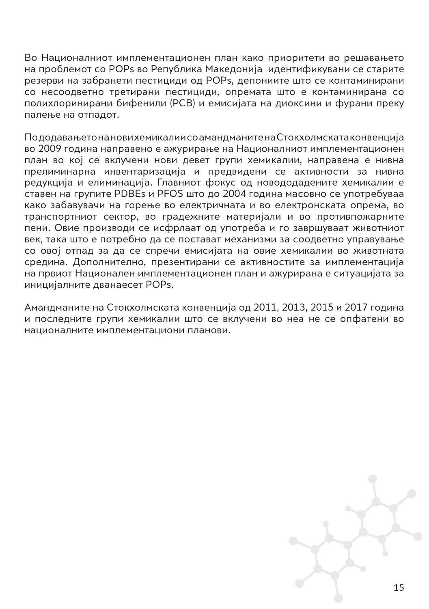Во Националниот имплементационен план како приоритети во решавањето на проблемот со POPs во Република Македонија идентификувани се старите резерви на забранети пестициди од POPs, депониите што се контаминирани со несоодветно третирани пестициди, опремата што е контаминирана со полихлоринирани бифенили (PCB) и емисијата на диоксини и фурани преку палење на отпадот.

По додавањето на нови хемикалии со амандманите на Стокхолмската конвенција во 2009 година направено е ажурирање на Националниот имплементационен план во кој се вклучени нови девет групи хемикалии, направена е нивна прелиминарна инвентаризација и предвидени се активности за нивна редукција и елиминација. Главниот фокус од новододадените хемикалии е ставен на групите PDBEs и PFOS што до 2004 година масовно се употребуваа како забавувачи на горење во електричната и во електронската опрема, во транспортниот сектор, во градежните материјали и во противпожарните пени. Овие производи се исфрлаат од употреба и го завршуваат животниот век, така што е потребно да се постават механизми за соодветно управување со овој отпад за да се спречи емисијата на овие хемикалии во животната средина. Дополнително, презентирани се активностите за имплементација на првиот Национален имплементационен план и ажурирана е ситуацијата за иницијалните дванаесет POPs.

Амандманите на Стокхолмската конвенција од 2011, 2013, 2015 и 2017 година и последните групи хемикалии што се вклучени во неа не се опфатени во националните имплементациони планови.

15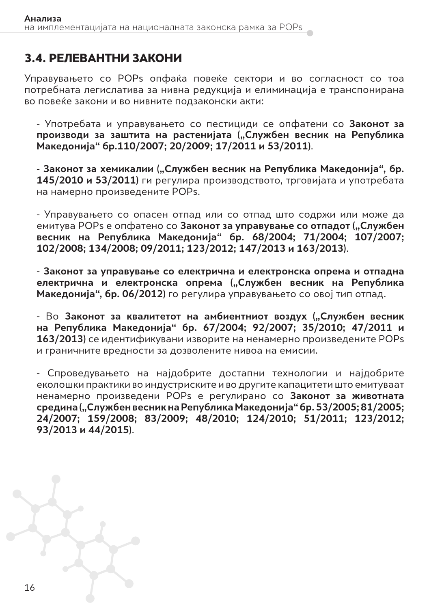### 3.4. РЕЛЕВАНТНИ ЗАКОНИ

Управувањето со POPs опфаќа повеќе сектори и во согласност со тоа потребната легислатива за нивна редукција и елиминација е транспонирана во повеќе закони и во нивните подзаконски акти:

- Употребата и управувањето со пестициди се опфатени со **Законот за**  производи за заштита на растенијата ("Службен весник на Република **Македонија" бр.110/2007; 20/2009; 17/2011 и 53/2011)**.

- Законот за хемикалии ("Службен весник на Република Македонија", бр. **145/2010 и 53/2011)** ги регулира производството, трговијата и употребата на намерно произведените POPs.

- Управувањето со опасен отпад или со отпад што содржи или може да емитува POPs е опфатено со **Законот за управување со отпадот ("Службен весник на Република Македонија" бр. 68/2004; 71/2004; 107/2007; 102/2008; 134/2008; 09/2011; 123/2012; 147/2013 и 163/2013)**.

- **Законот за управување со електрична и електронска опрема и отпадна**  електрична и електронска опрема ("Службен весник на Република **Македонија", бр. 06/2012)** го регулира управувањето со овој тип отпад.

- Во Законот за квалитетот на амбиентниот воздух ("Службен весник **на Република Македонија" бр. 67/2004; 92/2007; 35/2010; 47/2011 и 163/2013)** се идентификувани изворите на ненамерно произведените POPs и граничните вредности за дозволените нивоа на емисии.

- Спроведувањето на најдобрите достапни технологии и најдобрите еколошки практики во индустриските и во другите капацитети што емитуваат ненамерно произведени POPs е регулирано со **Законот за животната средина ("Службен весник на Република Македонија" бр. 53/2005; 81/2005; 24/2007; 159/2008; 83/2009; 48/2010; 124/2010; 51/2011; 123/2012; 93/2013 и 44/2015)**.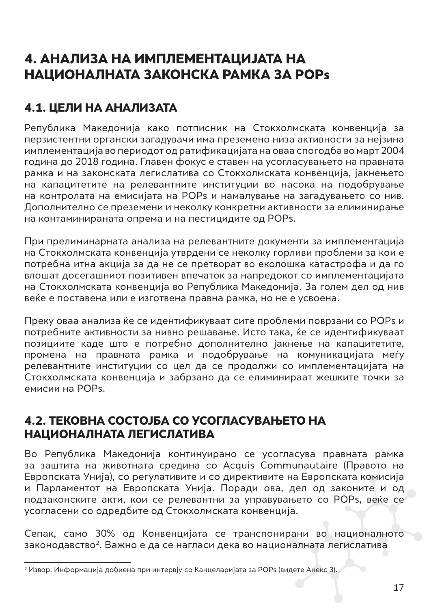## 4. АНАЛИЗА НА ИМПЛЕМЕНТАЦИЈАТА НА НАЦИОНАЛНАТА ЗАКОНСКА РАМКА ЗА POPs

## 4.1. ЦЕЛИ НА АНАЛИЗАТА

Република Македонија како потписник на Стокхолмската конвенција за перзистентни органски загадувачи има преземено низа активности за нејзина имплементација во периодот од ратификацијата на оваа спогодба во март 2004 година до 2018 година. Главен фокус е ставен на усогласувањето на правната рамка и на законската легислатива со Стокхолмската конвенција, јакнењето на капацитетите на релевантните институции во насока на подобрување на контролата на емисијата на POPs и намалување на загадувањето со нив. Дополнително се преземени и неколку конкретни активности за елиминирање на контаминираната опрема и на пестицидите од POPs.

При прелиминарната анализа на релевантните документи за имплементација на Стокхолмската конвенција утврдени се неколку горливи проблеми за кои е потребна итна акција за да не се претворат во еколошка катастрофа и да го влошат досегашниот позитивен впечаток за напредокот со имплементацијата на Стокхолмската конвенција во Република Македонија. За голем дел од нив веќе е поставена или е изготвена правна рамка, но не е усвоена.

Преку оваа анализа ќе се идентификуваат сите проблеми поврзани со POPs и потребните активности за нивно решавање. Исто така, ќе се идентификуваат позициите каде што е потребно дополнително јакнење на капацитетите, промена на правната рамка и подобрување на комуникацијата меѓу релевантните институции со цел да се продолжи со имплементацијата на Стокхолмската конвенција и забрзано да се елиминираат жешките точки за емисии на POPs.

### 4.2. ТЕКОВНА СОСТОЈБА СО УСОГЛАСУВАЊЕТО НА НАЦИОНАЛНАТА ЛЕГИСЛАТИВА

Во Република Македонија континуирано се усогласува правната рамка за заштита на животната средина со Acquis Communautaire (Правото на Европската Унија), со регулативите и со директивите на Европската комисија и Парламентот на Европската Унија. Поради ова, дел од законите и од подзаконските акти, кои се релевантни за управувањето со POPs, веќе се усогласени со одредбите од Стокхолмската конвенција.

Сепак, само 30% од Конвенцијата се транспонирани во националното законодавство<sup>2</sup>. Важно е да се нагласи дека во националната легислатива

<sup>2</sup> Извор: Информација добиена при интервју со Канцеларијата за POPs (видете Анекс 3).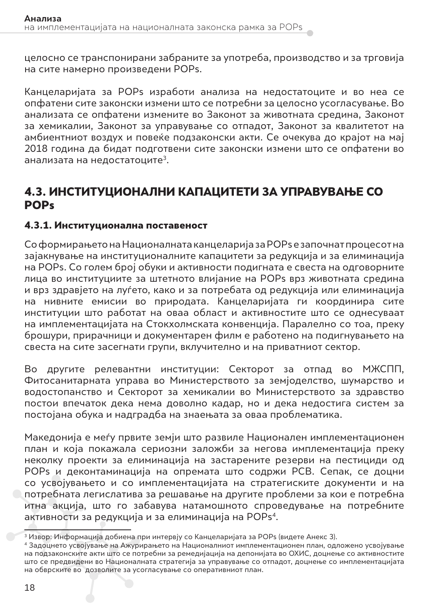целосно се транспонирани забраните за употреба, производство и за трговија на сите намерно произведени POPs.

Канцеларијата за POPs изработи анализа на недостатоците и во неа се опфатени сите законски измени што се потребни за целосно усогласување. Во анализата се опфатени измените во Законот за животната средина, Законот за хемикалии, Законот за управување со отпадот, Законот за квалитетот на амбиентниот воздух и повеќе подзаконски акти. Се очекува до крајот на мај 2018 година да бидат подготвени сите законски измени што се опфатени во анализата на недостатоците3.

### 4.3. ИНСТИТУЦИОНАЛНИ КАПАЦИТЕТИ ЗА УПРАВУВАЊЕ СО POPs

#### 4.3.1. Институционална поставеност

Со формирањето на Националната канцеларија за POPs е започнат процесот на зајакнување на институционалните капацитети за редукција и за елиминација на POPs. Со голем број обуки и активности подигната е свеста на одговорните лица во институциите за штетното влијание на POPs врз животната средина и врз здравјето на луѓето, како и за потребата од редукција или елиминација на нивните емисии во природата. Канцеларијата ги координира сите институции што работат на оваа област и активностите што се однесуваат на имплементацијата на Стокхолмската конвенција. Паралелно со тоа, преку брошури, прирачници и документарен филм е работено на подигнувањето на свеста на сите засегнати групи, вклучително и на приватниот сектор.

Во другите релевантни институции: Секторот за отпад во МЖСПП, Фитосанитарната управа во Министерството за земјоделство, шумарство и водостопанство и Секторот за хемикалии во Министерството за здравство постои впечаток дека нема доволно кадар, но и дека недостига систем за постојана обука и надградба на знаењата за оваа проблематика.

Македонија е меѓу првите земји што развиле Национален имплементационен план и која покажалa сериозни заложби за негова имплементација преку неколку проекти за елиминација на застарените резерви на пестициди од POPs и деконтаминација на опремата што содржи PCB. Сепак, се доцни со усвојувањето и со имплементацијата на стратегиските документи и на потребната легислатива за решавање на другите проблеми за кои е потребна итна акција, што го забавува натамошното спроведување на потребните активности за редукција и за елиминација на POPs4.

<sup>3</sup> Извор: Информација добиена при интервју со Канцеларијата за POPs (видете Анекс 3).

<sup>4</sup> Задоцнето усвојување на Ажурирањето на Националниот имплементационен план, одложено усвојување на подзаконските акти што се потребни за ремедијација на депонијата во ОХИС, доцнење со активностите што се предвидени во Националната стратегија за управување со отпадот, доцнење со имплементацијата на обврските во дозволите за усогласување со оперативниот план.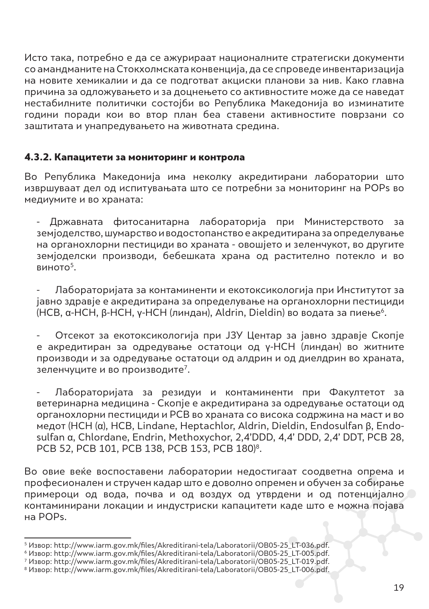Исто така, потребно е да се ажурираат националните стратегиски документи со амандманите на Стокхолмската конвенција, да се спроведе инвентаризација на новите хемикалии и да се подготват акциски планови за нив. Како главна причина за одложувањето и за доцнењето со активностите може да се наведат нестабилните политички состојби во Република Македонија во изминатите години поради кои во втор план беа ставени активностите поврзани со заштитата и унапредувањето на животната средина.

#### 4.3.2. Капацитети за мониторинг и контрола

Во Република Македонија има неколку акредитирани лаборатории што извршуваат дел од испитувањата што се потребни за мониторинг на POPs во медиумите и во храната:

- Државната фитосанитарна лабораторија при Министерството за земјоделство, шумарство и водостопанство е акредитирана за определување на органохлорни пестициди во храната - овошјето и зеленчукот, во другите земјоделски производи, бебешката храна од растително потекло и во виното $5$ .

- Лабораторијата за контаминенти и екотоксикологија при Институтот за јавно здравје е акредитирана за определување на органохлорни пестициди  $(HCB, α-HCH, β-HCH, γ-HCH (линдан), Aldrin, Dieldin)$  во водата за пиење<sup>6</sup>.

- Отсекот за екотоксикологија при ЈЗУ Центар за јавно здравје Скопје е акредитиран за одредување остатоци од γ-HCH (линдан) во житните производи и за одредување остатоци од алдрин и од диелдрин во храната, зеленчуците и во производите<sup>7</sup>.

- Лабораторијата за резидуи и контаминенти при Факултетот за ветеринарна медицина - Скопје е акредитирана за одредување остатоци од органохлорни пестициди и PCB во храната со висока содржина на маст и во медот (HCH (α), HCB, Lindane, Heptachlor, Aldrin, Dieldin, Endosulfan β, Endosulfan α, Chlordane, Endrin, Methoxychor, 2,4'DDD, 4,4' DDD, 2,4' DDT, PCB 28, PCB 52, PCB 101, PCB 138, PCB 153, PCB 180)<sup>8</sup>.

Во овие веќе воспоставени лаборатории недостигаат соодветна опрема и професионален и стручен кадар што е доволно опремен и обучен за собирање примероци од вода, почва и од воздух од утврдени и од потенцијално контаминирани локации и индустриски капацитети каде што е можна појава на POPs.

<sup>5</sup> Извор: http://www.iarm.gov.mk/files/Akreditirani-tela/Laboratorii/OB05-25\_LT-036.pdf.

<sup>6</sup> Извор: http://www.iarm.gov.mk/files/Akreditirani-tela/Laboratorii/OB05-25\_LT-005.pdf.

<sup>7</sup> Извор: http://www.iarm.gov.mk/files/Akreditirani-tela/Laboratorii/OB05-25\_LT-019.pdf.

<sup>8</sup> Извор: http://www.iarm.gov.mk/files/Akreditirani-tela/Laboratorii/OB05-25\_LT-006.pdf.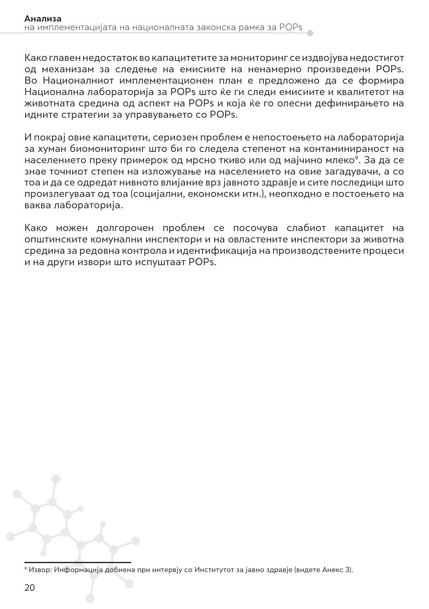Како главен недостаток во капацитетите за мониторинг се издвојува недостигот од механизам за следење на емисиите на ненамерно произведени POPs. Во Националниот имплементационен план е предложено да се формира Национална лабораторија за POPs што ќе ги следи емисиите и квалитетот на животната средина од аспект на POPs и која ќе го олесни дефинирањето на идните стратегии за управувањето со POPs.

И покрај овие капацитети, сериозен проблем е непостоењето на лабораторија за хуман биомониторинг што би го следела степенот на контаминираност на населението преку примерок од мрсно ткиво или од мајчино млеко<sup>9</sup>. За да се знае точниот степен на изложување на населението на овие загадувачи, а со тоа и да се одредат нивното влијание врз јавното здравје и сите последици што произлегуваат од тоа (социјални, економски итн.), неопходно е постоењето на ваква лабораторија.

Како можен долгорочен проблем се посочува слабиот капацитет на општинските комунални инспектори и на овластените инспектори за животна средина за редовна контрола и идентификација на производствените процеси и на други извори што испуштаат POPs.

<sup>9</sup> Извор: Информација добиена при интервју со Институтот за јавно здравје (видете Анекс 3).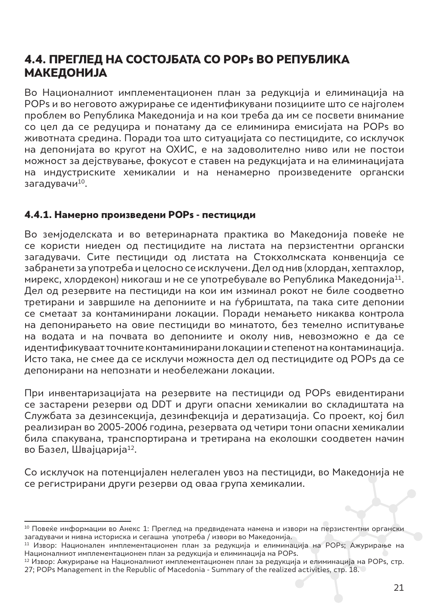### 4.4. ПРЕГЛЕД НА СОСТОЈБАТА СО POPs ВО РЕПУБЛИКА МАКЕДОНИЈА

Во Националниот имплементационен план за редукција и елиминација на POPs и во неговото ажурирање се идентификувани позициите што се најголем проблем во Република Македонија и на кои треба да им се посвети внимание со цел да се редуцира и понатаму да се елиминира емисијата на POPs во животната средина. Поради тоа што ситуацијата со пестицидите, со исклучок на депонијата во кругот на ОХИС, е на задоволително ниво или не постои можност за дејствување, фокусот е ставен на редукцијата и на елиминацијата на индустриските хемикалии и на ненамерно произведените органски загадувачи<sup>10</sup>.

#### 4.4.1. Намерно произведени POPs - пестициди

Во земјоделската и во ветеринарната практика во Македонија повеќе не се користи ниеден од пестицидите на листата на перзистентни органски загадувачи. Сите пестициди од листата на Стокхолмската конвенција се забранети за употреба и целосно се исклучени. Дел од нив (хлордан, хептахлор, мирекс, хлордекон) никогаш и не се употребувале во Република Македонија<sup>11</sup>. Дел од резервите на пестициди на кои им изминал рокот не биле соодветно третирани и завршиле на депониите и на ѓубриштата, па така сите депонии се сметаат за контаминирани локации. Поради немањето никаква контрола на депонирањето на овие пестициди во минатото, без темелно испитување на водата и на почвата во депониите и околу нив, невозможно е да се идентификуваат точните контаминирани локации и степенот на контаминација. Исто така, не смее да се исклучи можноста дел од пестицидите од POPs да се депонирани на непознати и необележани локации.

При инвентаризацијата на резервите на пестициди од POPs евидентирани се застарени резерви од DDT и други опасни хемикалии во складиштата на Службата за дезинсекција, дезинфекција и дератизација. Со проект, кој бил реализиран во 2005-2006 година, резервата од четири тони опасни хемикалии била спакувана, транспортирана и третирана на еколошки соодветен начин во Базел, Швајцарија<sup>12</sup>.

Со исклучок на потенцијален нелегален увоз на пестициди, во Македонија не се регистрирани други резерви од оваа група хемикалии.

 $^{10}$  Повеќе информации во Анекс 1: Преглед на предвидената намена и извори на перзистентни органски загадувачи и нивна историска и сегашна употреба / извори во Македонија.

<sup>11</sup> Извор: Национален имплементационен план за редукција и елиминација на POPs; Ажурирање на Националниот имплементационен план за редукција и елиминација на POPs.

<sup>&</sup>lt;sup>12</sup> Извор: Ажурирање на Националниот имплементационен план за редукција и елиминација на POPs, стр. 27; POPs Management in the Republic of Macedonia - Summary of the realized activities, стр. 18.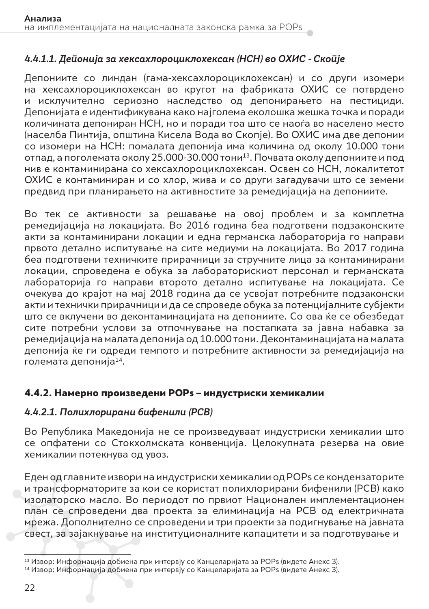#### *4.4.1.1. Депонија за хексахлороциклохексан (HCH) во ОХИС - Скопје*

Депониите со линдан (гама-хексахлороциклохексан) и со други изомери на хексахлороциклохексан во кругот на фабриката ОХИС се потврдено и исклучително сериозно наследство од депонирањето на пестициди. Депонијата е идентификувана како најголема еколошка жешка точка и поради количината депониран HCH, но и поради тоа што се наоѓа во населено место (населба Пинтија, општина Кисела Вода во Скопје). Во ОХИС има две депонии со изомери на HCH: помалата депонија има количина од околу 10.000 тони отпад, а поголемата околу 25.000-30.000 тони13. Почвата околу депониите и под нив е контаминирана со хексахлороциклохексан. Освен со HCH, локалитетот ОХИС е контаминиран и со хлор, жива и со други загадувачи што се земени предвид при планирањето на активностите за ремедијација на депониите.

Во тек се активности за решавање на овој проблем и за комплетна ремедијација на локацијата. Во 2016 година беа подготвени подзаконските акти за контаминирани локации и една германска лабораторија го направи првото детално испитување на сите медиуми на локацијата. Во 2017 година беа подготвени техничките прирачници за стручните лица за контаминирани локации, спроведена е обука за лабораторискиот персонал и германската лабораторија го направи второто детално испитување на локацијата. Се очекува до крајот на мај 2018 година да се усвојат потребните подзаконски акти и технички прирачници и да се спроведе обука за потенцијалните субјекти што се вклучени во деконтаминацијата на депониите. Со ова ќе се обезбедат сите потребни услови за отпочнување на постапката за јавна набавка за ремедијација на малата депонија од 10.000 тони. Деконтаминацијата на малата депонија ќе ги одреди темпото и потребните активности за ремедијација на големата депонија14.

#### 4.4.2. Намерно произведени POPs – индустриски хемикалии

#### *4.4.2.1. Полихлорирани бифенили (PCB)*

Во Република Македонија не се произведуваат индустриски хемикалии што се опфатени со Стокхолмската конвенција. Целокупната резерва на овие хемикалии потекнува од увоз.

Еден од главните извори на индустриски хемикалии од POPs се кондензаторите и трансформаторите за кои се користат полихлорирани бифенили (PCB) како изолаторско масло. Во периодот по првиот Национален имплементационен план се спроведени два проекта за елиминација на PCB од електричната мрежа. Дополнително се спроведени и три проекти за подигнување на јавната свест, за зајакнување на институционалните капацитети и за подготвување и

<sup>13</sup> Извор: Информација добиена при интервју со Канцеларијата за POPs (видете Анекс 3).

<sup>14</sup> Извор: Информација добиена при интервју со Канцеларијата за POPs (видете Анекс 3).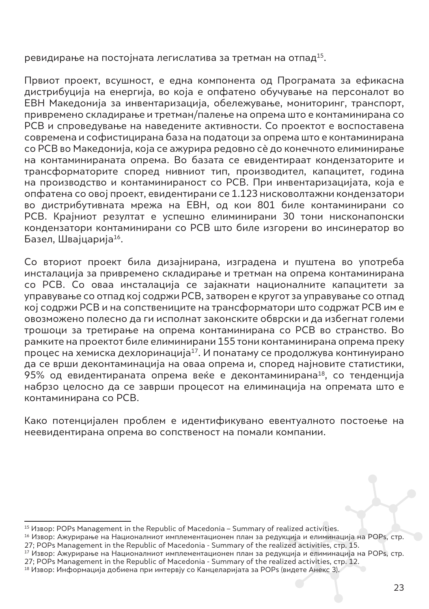ревидирање на постојната легислатива за третман на отпад<sup>15</sup>.

Првиот проект, всушност, е една компонента од Програмата за ефикасна дистрибуција на енергија, во која е опфатено обучување на персоналот во ЕВН Македонија за инвентаризација, обележување, мониторинг, транспорт, привремено складирање и третман/палење на опрема што е контаминирана со PCB и спроведување на наведените активности. Со проектот е воспоставена современа и софистицирана база на податоци за опрема што е контаминирана со PCB во Македонија, која се ажурира редовно сѐ до конечното елиминирање на контаминираната опрема. Во базата се евидентираат кондензаторите и трансформаторите според нивниот тип, производител, капацитет, година на производство и контаминираност со PCB. При инвентаризацијата, која е опфатена со овој проект, евидентирани се 1.123 нисковолтажни кондензатори во дистрибутивната мрежа на ЕВН, од кои 801 биле контаминирани со PCB. Крајниот резултат е успешно елиминирани 30 тони нисконапонски кондензатори контаминирани со PCB што биле изгорени во инсинератор во Базел, Швајцарија16.

Со вториот проект била дизајнирана, изградена и пуштена во употреба инсталација за привремено складирање и третман на опрема контаминирана со PCB. Со оваа инсталација се зајакнати националните капацитети за управување со отпад кој содржи PCB, затворен е кругот за управување со отпад кој содржи PCB и на сопствениците на трансформатори што содржат PCB им е овозможено полесно да ги исполнат законските обврски и да избегнат големи трошоци за третирање на опрема контаминирана со PCB во странство. Во рамките на проектот биле елиминирани 155 тони контаминирана опрема преку процес на хемиска дехлоринација<sup>17</sup>. И понатаму се продолжува континуирано да се врши деконтаминација на оваа опрема и, според најновите статистики, 95% од евидентираната опрема веќе е деконтаминирана18, со тенденција набрзо целосно да се заврши процесот на елиминација на опремата што е контаминирана со PCB.

Како потенцијален проблем е идентификувано евентуалното постоење на неевидентирана опрема во сопственост на помали компании.

17 Извор: Ажурирање на Националниот имплементационен план за редукција и елиминација на POPs, стр. 27; POPs Management in the Republic of Macedonia - Summary of the realized activities, стр. 12.

<sup>15</sup> Извор: POPs Management in the Republic of Macedonia – Summary of realized activities.

<sup>16</sup> Извор: Ажурирање на Националниот имплементационен план за редукција и елиминација на POPs, стр.

<sup>27;</sup> POPs Management in the Republic of Macedonia - Summary of the realized activities, стр. 15.

<sup>18</sup> Извор: Информација добиена при интервју со Канцеларијата за POPs (видете Анекс 3).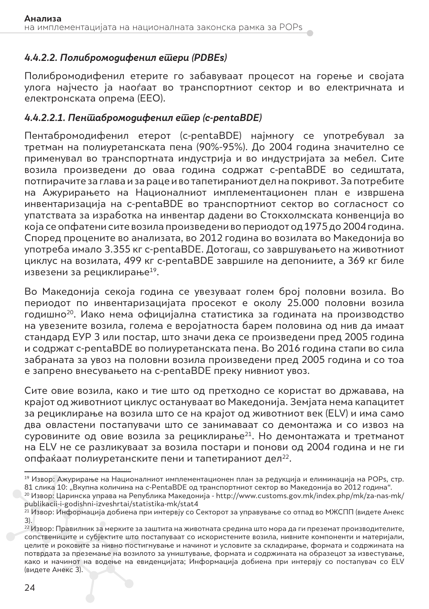#### *4.4.2.2. Полибромодифенил етери (PDBEs)*

Полибромодифенил етерите го забавуваат процесот на горење и својата улога најчесто ја наоѓаат во транспортниот сектор и во електричната и електронската опрема (ЕЕО).

#### *4.4.2.2.1. Пентабромодифенил етер (c-pentaBDE)*

Пентабромодифенил етерот (c-pentaBDE) најмногу се употребувал за третман на полиуретанската пена (90%-95%). До 2004 година значително се применувал во транспортната индустрија и во индустријата за мебел. Сите возила произведени до оваа година содржат c-pentaBDE во седиштата, потпирачите за глава и за раце и во тапетираниот дел на покривот. За потребите на Ажурирањето на Националниот имплементационен план е извршена инвентаризација на c-pentaBDE во транспортниот сектор во согласност со упатствата за изработка на инвентар дадени во Стокхолмската конвенција во која се опфатени сите возила произведени во периодот од 1975 до 2004 година. Според процените во анализата, во 2012 година во возилата во Македонија во употреба имало 3.355 кг c-pentaBDE. Дотогаш, со завршувањето на животниот циклус на возилата, 499 кг c-pentaBDE завршиле на депониите, а 369 кг биле извезени за рециклирање19.

Во Македонија секоја година се увезуваат голем број половни возила. Во периодот по инвентаризацијата просекот е околу 25.000 половни возила годишно20. Иако нема официјална статистика за годината на производство на увезените возила, голема е веројатноста барем половина од нив да имаат стандард ЕУР 3 или постар, што значи дека се произведени пред 2005 година и содржат c-pentaBDE во полиуретанската пена. Во 2016 година стапи во сила забраната за увоз на половни возила произведени пред 2005 година и со тоа е запрено внесувањето на c-pentaBDE преку нивниот увоз.

Сите овие возила, како и тие што од претходно се користат во државава, на крајот од животниот циклус остануваат во Македонија. Земјата нема капацитет за рециклирање на возила што се на крајот од животниот век (ELV) и има само двa овластени постапувачи што се занимаваат со демонтажа и со извоз на суровините од овие возила за рециклирање<sup>21</sup>. Но демонтажата и третманот на ELV не се разликуваат за возила постари и понови од 2004 година и не ги опфаќаат полиуретанските пени и тапетираниот дел<sup>22</sup>.

<sup>19</sup> Извор: Ажурирање на Националниот имплементационен план за редукција и елиминација на POPs, стр. 81 слика 10: "Вкупна количина на c-PentaBDE од транспортниот сектор во Македонија во 2012 година".

<sup>&</sup>lt;sup>20</sup> Извор: Царинска управа на Република Македонија - http://www.customs.gov.mk/index.php/mk/za-nas-mk/ publikacii-i-godishni-izveshrtai/statistika-mk/stat4

<sup>&</sup>lt;sup>21</sup> Извор: Информација добиена при интервју со Секторот за управување со отпад во МЖСПП (видете Анекс 3).

 $^{22}$  Извор: Правилник за мерките за заштита на животната средина што мора да ги преземат производителите, сопствениците и субјектите што постапуваат со искористените возила, нивните компоненти и материјали, целите и роковите за нивно постигнување и начинот и условите за складирање, формата и содржината на потврдата за преземање на возилото за уништување, формата и содржината на образецот за известување, како и начинот на водење на евиденцијата; Информација добиена при интервју со постапувач со ELV (видете Анекс 3).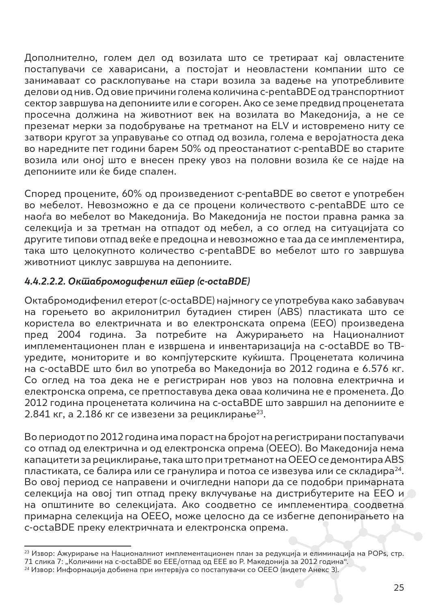Дополнително, голем дел од возилата што се третираат кај овластените постапувачи се хаварисани, а постојат и неовластени компании што се занимаваат со расклопување на стари возила за вадење на употребливите делови од нив. Од овие причини голема количина c-pentaBDE од транспортниот сектор завршува на депониите или е согорен. Ако се земе предвид проценетата просечна должина на животниот век на возилата во Македонија, а не се преземат мерки за подобрување на третманот на ELV и истовремено ниту се затвори кругот за управување со отпад од возила, голема е веројатноста дека во наредните пет години барем 50% од преостанатиот c-pentaBDE во старите возила или оној што е внесен преку увоз на половни возила ќе се најде на депониите или ќе биде спален.

Според процените, 60% од произведениот c-pentaBDE во светот е употребен во мебелот. Невозможно е да се процени количеството c-pentaBDE што се наоѓа во мебелот во Македонија. Во Македонија не постои правна рамка за селекција и за третман на отпадот од мебел, а со оглед на ситуацијата со другите типови отпад веќе е предоцна и невозможно е таа да се имплементира, така што целокупното количество c-pentaBDE во мебелот што го завршува животниот циклус завршува на депониите.

#### *4.4.2.2.2. Октабромодифенил етер (c-octaBDE)*

Октабромодифенил етерот (c-octaBDE) најмногу се употребува како забавувач на горењето во aкрилонитрил бутадиен стирен (ABS) пластиката што се користела во електричната и во електронската опрема (ЕЕО) произведена пред 2004 година. За потребите на Ажурирањето на Националниот имплементационен план е извршена и инвентаризација на c-octaBDE во ТВуредите, мониторите и во компјутерските куќишта. Проценетата количина на c-octaBDE што бил во употреба во Македонија во 2012 година е 6.576 кг. Со оглед на тоа дека не е регистриран нов увоз на половна електрична и електронска опрема, се претпоставува дека оваа количина не е променета. До 2012 година проценетата количина на c-octaBDE што завршил на депониите е 2.841 кг, а 2.186 кг се извезени за рециклирање<sup>23</sup>.

Во периодот по 2012 година има пораст на бројот на регистрирани постапувачи со отпад од електрична и од електронска опрема (ОЕЕО). Во Македонија нема капацитети за рециклирање, така што при третманот на ОЕЕО се демонтира ABS пластиката, се балира или се гранулира и потоа се извезува или се складира<sup>24</sup>. Во овој период се направени и очигледни напори да се подобри примарната селекција на овој тип отпад преку вклучување на дистрибутерите на ЕЕО и на општините во селекцијата. Ако соодветно се имплементира соодветна примарна селекција на ОЕЕО, може целосно да се избегне депонирањето на c-octaBDE преку електричната и електронска опрема.

<sup>&</sup>lt;sup>23</sup> Извор: Ажурирање на Националниот имплементационен план за редукција и елиминација на POPs, стр. 71 слика 7: "Количини на с-octaBDE во EEE/отпад од EEE во Р. Македонија за 2012 година".

<sup>24</sup> Извор: Информација добиена при интервјуа со постапувачи со ОЕЕО (видете Анекс 3).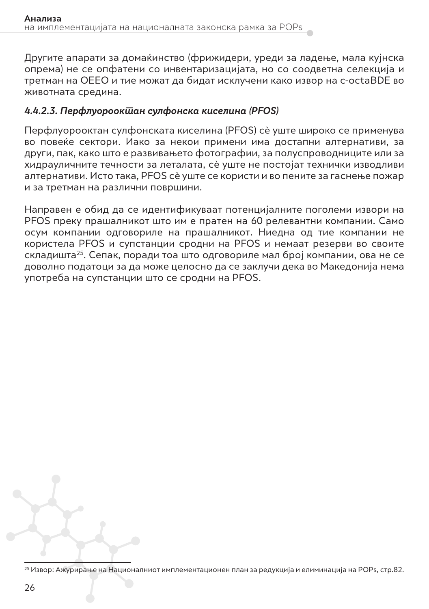Другите апарати за домаќинство (фрижидери, уреди за ладење, мала кујнска опрема) не се опфатени со инвентаризацијата, но со соодветна селекција и третман на ОЕЕО и тие можат да бидат исклучени како извор на c-octaBDE во животната средина.

#### *4.4.2.3. Перфлуорооктан сулфoнска киселина (PFOS)*

Перфлуорооктан сулфoнската киселина (PFOS) сѐ уште широко се применува во повеќе сектори. Иако за некои примени има достапни алтернативи, за други, пак, како што е развивањето фотографии, за полуспроводниците или за хидрауличните течности за леталата, сѐ уште не постојат технички изводливи алтернативи. Исто така, PFOS сѐ уште се користи и во пените за гаснење пожар и за третман на различни површини.

Направен е обид да се идентификуваат потенцијалните поголеми извори на PFOS преку прашалникот што им е пратен на 60 релевантни компании. Само осум компании одговориле на прашалникот. Ниедна од тие компании не користела PFOS и супстанции сродни на PFOS и немаат резерви во своите складишта25. Сепак, поради тоа што одговориле мал број компании, ова не се доволно податоци за да може целосно да се заклучи дека во Македонија нема употреба на супстанции што се сродни на PFOS.

 $^{25}$  Извор: Ажурирање на Националниот имплементационен план за редукција и елиминација на POPs, стр.82.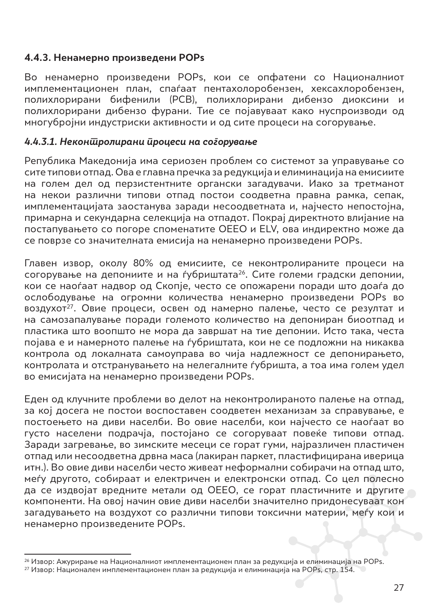#### **4.4.3. Ненамерно произведени POPs**

Во ненамерно произведени POPs, кои се опфатени со Националниот имплементационен план, спаѓаат пентахолоробензен, хексахлоробензен, полихлорирани бифенили (PCB), полихлорирани дибензо диоксини и полихлорирани дибензо фурани. Тие се појавуваат како нуспроизводи од многубројни индустриски активности и од сите процеси на согорување.

#### *4.4.3.1. Неконтролирани процеси на согорување*

Република Македонија има сериозен проблем со системот за управување со сите типови отпад. Ова е главна пречка за редукција и елиминација на емисиите на голем дел од перзистентните органски загадувачи. Иако за третманот на некои различни типови отпад постои соодветна правна рамка, сепак, имплементацијата заостанува заради несоодветната и, најчесто непостојна, примарна и секундарна селекција на отпадот. Покрај директното влијание на постапувањето со погоре споменатите ОЕЕО и ELV, ова индиректно може да се поврзе со значителната емисија на ненамерно произведени POPs.

Главен извор, околу 80% од емисиите, се неконтролираните процеси на согорување на депониите и на ѓубриштата<sup>26</sup>. Сите големи градски депонии, кои се наоѓаат надвор од Скопје, често се опожарени поради што доаѓа до ослободување на огромни количества ненамерно произведени POPs во воздухот<sup>27</sup>. Овие процеси, освен од намерно палење, често се резултат и на самозапалување поради големото количество на депониран биоотпад и пластика што воопшто не мора да завршат на тие депонии. Исто така, честа појава е и намерното палење на ѓубриштата, кои не се подложни на никаква контрола од локалната самоуправа во чија надлежност се депонирањето, контролата и отстранувањето на нелегалните ѓубришта, а тоа има голем удел во емисијата на ненамерно произведени POPs.

Еден од клучните проблеми во делот на неконтролираното палење на отпад, за кој досега не постои воспоставен соодветен механизам за справување, е постоењето на диви населби. Во овие населби, кои најчесто се наоѓаат во густо населени подрачја, постојано се согоруваат повеќе типови отпад. Заради загревање, во зимските месеци се горат гуми, најразличен пластичен отпад или несоодветна дрвна маса (лакиран паркет, пластифицирана иверица итн.). Во овие диви населби често живеат неформални собирачи на отпад што, меѓу другото, собираат и електричен и електронски отпад. Со цел полесно да се издвојат вредните метали од ОЕЕО, се горат пластичните и другите компоненти. На овој начин овие диви населби значително придонесуваат кон загадувањето на воздухот со различни типови токсични материи, меѓу кои и ненамерно произведените POPs.

<sup>&</sup>lt;sup>26</sup> Извор: Ажурирање на Националниот имплементационен план за редукција и елиминација на POPs.

 $27$  Извор: Национален имплементационен план за редукција и елиминација на POPs, стр. 154.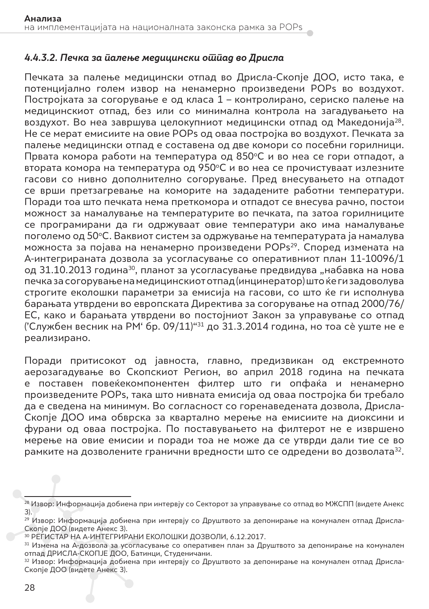#### *4.4.3.2. Печка за палење медицински отпад во Дрисла*

Печката за палење медицински отпад во Дрисла-Скопје ДОО, исто така, е потенцијално голем извор на ненамерно произведени POPs во воздухот. Постројката за согорување е од класа 1 – контролирано, сериско палење на медицинскиот отпад, без или со минимална контрола на загадувањето на воздухот. Во неа завршува целокупниот медицински отпад од Македонија28. Не се мерат емисиите на овие POPs од оваа постројка во воздухот. Печката за палење медицински отпад е составена од две комори со посебни горилници. Првата комора работи на температура од 850оC и во неа се гори отпадот, а втората комора на температура од 950°С и во неа се прочистуваат излезните гасови со нивно дополнително согорување. Пред внесувањето на отпадот се врши претзагревање на коморите на зададените работни температури. Поради тоа што печката нема преткомора и отпадот се внесува рачно, постои можност за намалување на температурите во печката, па затоа горилниците се програмирани да ги одржуваат овие температури ако има намалување поголемо од 50оC. Ваквиот систем за одржување на температурата ја намалува можноста за појава на ненамерно произведени POPs<sup>29</sup>. Според измената на А-интегрираната дозвола за усогласување со оперативниот план 11-10096/1 од 31.10.2013 година<sup>зо</sup>, планот за усогласување предвидува "набавка на нова печка за согорување на медицинскиот отпад (инцинератор) што ќе ги задоволува строгите еколошки параметри за емисија на гасови, со што ќе ги исполнува барањата утврдени во европската Директива за согорување на отпад 2000/76/ ЕС, како и барањата утврдени во постојниот Закон за управување со отпад ('Службен весник на РМ' бр. 09/11)"31 до 31.3.2014 година, но тоа сѐ уште не е реализирано.

Поради притисокот од јавноста, главно, предизвикан од екстремното аерозагадување во Скопскиот Регион, во април 2018 година на печката е поставен повеќекомпонентен филтер што ги опфаќа и ненамерно произведените POPs, така што нивната емисија од оваа постројка би требало да е сведена на минимум. Во согласност со горенаведената дозвола, Дрисла-Скопје ДОО има обврска за квартално мерење на емисиите на диоксини и фурани од оваа постројка. По поставувањето на филтерот не е извршено мерење на овие емисии и поради тоа не може да се утврди дали тие се во рамките на дозволените гранични вредности што се одредени во дозволата<sup>32</sup>.

<sup>28</sup> Извор: Информација добиена при интервју со Секторот за управување со отпад во МЖСПП (видете Анекс 3).

<sup>29</sup> Извор: Информација добиена при интервју со Друштвото за депонирање на комунален отпад Дрисла-Скопје ДОО (видете Анекс 3).

<sup>30</sup> РЕГИСТАР НА А-ИНТЕГРИРАНИ ЕКОЛОШКИ ДОЗВОЛИ, 6.12.2017.

<sup>31</sup> Измена на А-дозвола за усогласување со оперативен план за Друштвото за депонирање на комунален отпад ДРИСЛА-СКОПЈЕ ДОО, Батинци, Студеничани.

 $32$  Извор: Информација добиена при интервју со Друштвото за депонирање на комунален отпад Дрисла-Скопје ДОО (видете Анекс 3).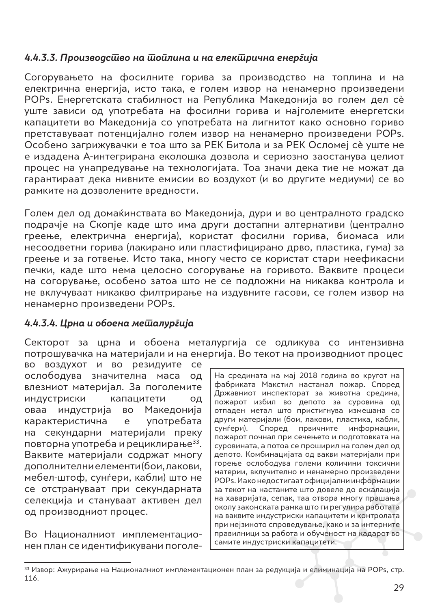#### *4.4.3.3. Производство на топлина и на електрична енергија*

Согорувањето на фосилните горива за производство на топлина и на електрична енергија, исто така, е голем извор на ненамерно произведени POPs. Енергетската стабилност на Република Македонија во голем дел сѐ уште зависи од употребата на фосилни горива и најголемите енергетски капацитети во Македонија со употребата на лигнитот како основно гориво претставуваат потенцијално голем извор на ненамерно произведени POPs. Особено загрижувачки е тоа што за РЕК Битола и за РЕК Осломеј сѐ уште не е издадена А-интегрирана еколошка дозвола и сериозно заостанува целиот процес на унапредување на технологијата. Тоа значи дека тие не можат да гарантираат дека нивните емисии во воздухот (и во другите медиуми) се во рамките на дозволените вредности.

Голем дел од домаќинствата во Македонија, дури и во централното градско подрачје на Скопје каде што има други достапни алтернативи (централно греење, електрична енергија), користат фосилни горива, биомаса или несоодветни горива (лакирано или пластифицирано дрво, пластика, гума) за греење и за готвење. Исто така, многу често се користат стари неефикасни печки, каде што нема целосно согорување на горивото. Ваквите процеси на согорување, особено затоа што не се подложни на никаква контрола и не вклучуваат никакво филтрирање на издувните гасови, се голем извор на ненамерно произведени POPs.

#### *4.4.3.4. Црна и обоена металургија*

Секторот за црна и обоена металургија се одликува со интензивна потрошувачка на материјали и на енергија. Во текот на производниот процес

во воздухот и во резидуите се ослободува значителна маса од влезниот материјал. За поголемите индустриски капацитети од оваа индустрија во Македонија карактеристична е употребата на секундарни материјали преку повторна употреба и рециклирање<sup>33</sup>. Ваквите материјали содржат многу дополнителни елементи (бои, лакови, мебел-штоф, сунѓери, кабли) што не се отстрануваат при секундарната селекција и стануваат активен дел од производниот процес.

Во Националниот имплементационен план се идентификувани поголеНа средината на мај 2018 година во кругот на фабриката Макстил настанал пожар. Според Државниот инспекторат за животна средина, пожарот избил во депото за суровина од отпаден метал што пристигнува измешана со други материјали (бои, лакови, пластика, кабли, сунѓери). Според првичните информации, пожарот почнал при сечењето и подготовката на суровината, а потоа се проширил на голем дел од депото. Комбинацијата од вакви материјали при горење ослободува големи количини токсични материи, вклучително и ненамерно произведени POPs. Иако недостигаат официјални информации за текот на настаните што довеле до ескалација на хаваријата, сепак, таа отвора многу прашања околу законската рамка што ги регулира работата на ваквите индустриски капацитети и контролата при нејзиното спроведување, како и за интерните правилници за работа и обученост на кадарот во самите индустриски капацитети.

<sup>33</sup> Извор: Ажурирање на Националниот имплементационен план за редукција и елиминација на POPs, стр. 116.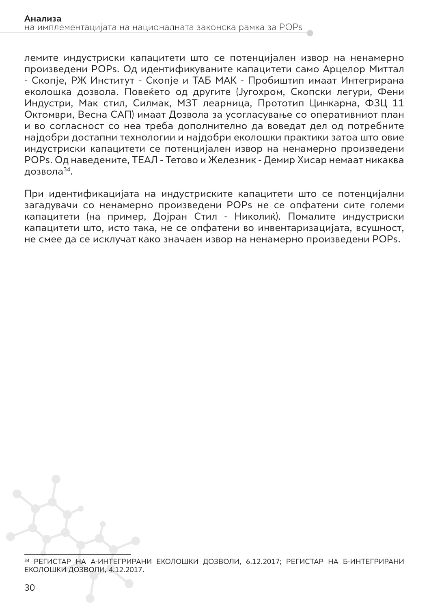лемите индустриски капацитети што се потенцијален извор на ненамерно произведени POPs. Од идентификуваните капацитети само Арцелор Миттал - Скопје, РЖ Институт - Скопје и ТАБ МАК - Пробиштип имаат Интегрирана еколошка дозвола. Повеќето од другите (Југохром, Скопски легури, Фени Индустри, Мак стил, Силмак, МЗТ леарница, Прототип Цинкарна, ФЗЦ 11 Октомври, Весна САП) имаат Дозвола за усогласување со оперативниот план и во согласност со неа треба дополнително да воведат дел од потребните најдобри достапни технологии и најдобри еколошки практики затоа што овие индустриски капацитети се потенцијален извор на ненамерно произведени POPs. Од наведените, ТЕАЛ - Тетово и Железник - Демир Хисар немаат никаква дозвола $34$ .

При идентификацијата на индустриските капацитети што се потенцијални загадувачи со ненамерно произведени POPs не се опфатени сите големи капацитети (на пример, Дојран Стил - Николиќ). Помалите индустриски капацитети што, исто така, не се опфатени во инвентаризацијата, всушност, не смее да се исклучат како значаен извор на ненамерно произведени POPs.

34 РЕГИСТАР НА А-ИНТЕГРИРАНИ ЕКОЛОШКИ ДОЗВОЛИ, 6.12.2017; РЕГИСТАР НА Б-ИНТЕГРИРАНИ ЕКОЛОШКИ ДОЗВОЛИ, 4.12.2017.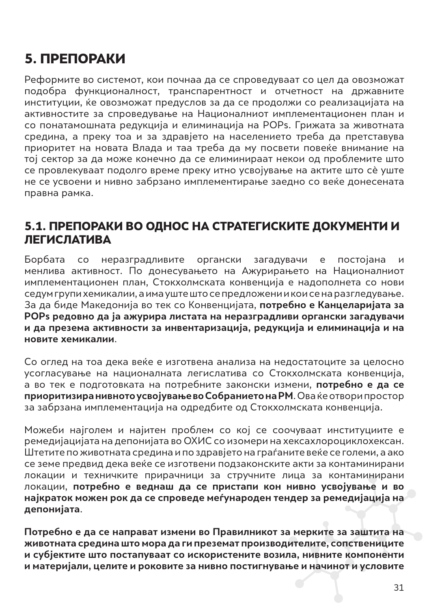## 5. ПРЕПОРАКИ

Реформите во системот, кои почнаа да се спроведуваат со цел да овозможат подобра функционалност, транспарентност и отчетност на државните институции, ќе овозможат предуслов за да се продолжи со реализацијата на активностите за спроведување на Националниот имплементационен план и со понатамошната редукција и елиминација на POPs. Грижата за животната средина, а преку тоа и за здравјето на населението треба да претставува приоритет на новата Влада и таа треба да му посвети повеќе внимание на тој сектор за да може конечно да се елиминираат некои од проблемите што се провлекуваат подолго време преку итно усвојување на актите што сѐ уште не се усвоени и нивно забрзано имплементирање заедно со веќе донесената правна рамка.

### 5.1. ПРЕПОРАКИ ВО ОДНОС НА СТРАТЕГИСКИТЕ ДОКУМЕНТИ И ЛЕГИСЛАТИВА

Борбата со неразградливите органски загадувачи е постојана и менлива активност. По донесувањето на Ажурирањето на Националниот имплементационен план, Стокхолмската конвенција е надополнета со нови седум групи хемикалии, а има уште што се предложени и кои се на разгледување. За да биде Македонија во тек со Конвенцијата, **потребно е Канцеларијата за POPs редовно да ја ажурира листата на неразградливи органски загадувачи и да презема активности за инвентаризација, редукција и елиминација и на новите хемикалии**.

Со оглед на тоа дека веќе е изготвена анализа на недостатоците за целосно усогласување на националната легислатива со Стокхолмската конвенција, а во тек е подготовката на потребните законски измени, **потребно е да се приоритизира нивното усвојување во Собранието на РМ**. Ова ќе отвори простор за забрзана имплементација на одредбите од Стокхолмската конвенција.

Можеби најголем и најитен проблем со кој се соочуваат институциите е ремедијацијата на депонијата во ОХИС со изомери на хексахлороциклохексан. Штетите по животната средина и по здравјето на граѓаните веќе се големи, а ако се земе предвид дека веќе се изготвени подзаконските акти за контаминирани локации и техничките прирачници за стручните лица за контаминирани локации, **потребно е веднаш да се пристапи кон нивно усвојување и во најкраток можен рок да се спроведе меѓународен тендер за ремедијација на депонијата**.

**Потребно е да се направат измени во Правилникот за мерките за заштита на животната средина што мора да ги преземат производителите, сопствениците и субјектите што постапуваат со искористените возила, нивните компоненти и материјали, целите и роковите за нивно постигнување и начинот и условите**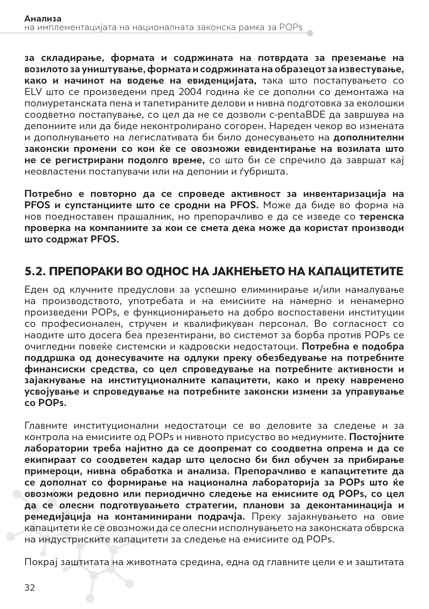**за складирање, формата и содржината на потврдата за преземање на возилото за уништување, формата и содржината на образецот за известување, како и начинот на водење на евиденцијата,** така што постапувањето со ELV што се произведени пред 2004 година ќе се дополни со демонтажа на полиуретанската пена и тапетираните делови и нивна подготовка за еколошки соодветно постапување, со цел да не се дозволи c-pentaBDE да завршува на депониите или да биде неконтролирано согорен. Нареден чекор во измената и дополнувањето на легислативата би било донесувањето на **дополнителни законски промени со кои ќе се овозможи евидентирање на возилата што не се регистрирани подолго време,** со што би се спречило да завршат кај неовластени постапувачи или на депонии и ѓубришта.

**Потребно е повторно да се спроведе активност за инвентаризација на PFOS и супстанциите што се сродни на PFOS.** Може да биде во форма на нов поедноставен прашалник, но препорачливо е да се изведе со **теренска проверка на компаниите за кои се смета дека може да користат производи што содржат PFOS.**

### 5.2. ПРЕПОРАКИ ВО ОДНОС НА ЈАКНЕЊЕТО НА КАПАЦИТЕТИТЕ

Еден од клучните предуслови за успешно елиминирање и/или намалување на производството, употребата и на емисиите на намерно и ненамерно произведени POPs, е функционирањето на добро воспоставени институции со професионален, стручен и квалификуван персонал. Во согласност со наодите што досега беа презентирани, во системот за борба против POPs се очигледни повеќе системски и кадровски недостатоци. **Потребна е подобра поддршка од донесувачите на одлуки преку обезбедување на потребните финансиски средства, со цел спроведување на потребните активности и зајакнување на институционалните капацитети, како и преку навремено усвојување и спроведување на потребните законски измени за управување со POPs.**

Главните институционални недостатоци се во деловите за следење и за контрола на емисиите од POPs и нивното присуство во медиумите. **Постојните лаборатории треба најитно да се доопремат со соодветна опрема и да се екипираат со соодветен кадар што целосно би бил обучен за прибирање примероци, нивна обработка и анализа. Препорачливо е капацитетите да се дополнат со формирање на национална лабораторија за POPs што ќе овозможи редовно или периодично следење на емисиите од POPs, со цел да се олесни подготвувањето стратегии, планови за деконтаминација и ремедијација на контаминирани подрачја.** Преку зајакнувањето на овие капацитети ќе се овозможи да се олесни исполнувањето на законската обврска на индустриските капацитети за следење на емисиите од POPs.

Покрај заштитата на животната средина, една од главните цели е и заштитата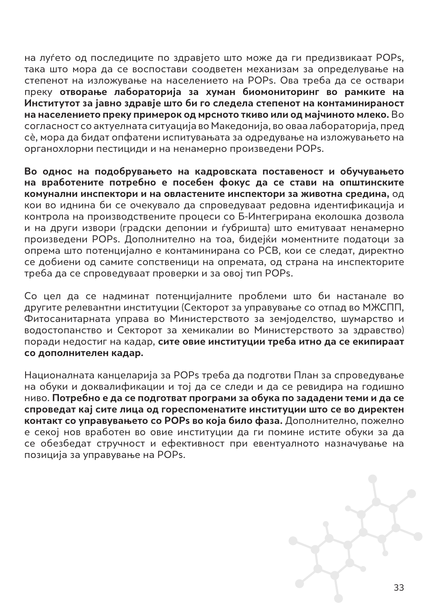на луѓето од последиците по здравјето што може да ги предизвикаат POPs, така што мора да се воспостави соодветен механизам за определување на степенот на изложување на населението на POPs. Ова треба да се оствари преку **отворање лабораторија за хуман биомониторинг во рамките на Институтот за јавно здравје што би го следела степенот на контаминираност на населението преку примерок од мрсното ткиво или од мајчиното млеко.** Во согласност со актуелната ситуација во Македонија, во оваа лабораторија, пред сѐ, мора да бидат опфатени испитувањата за одредување на изложувањето на органохлорни пестициди и на ненамерно произведени POPs.

**Во однос на подобрувањето на кадровската поставеност и обучувањето на вработените потребно е посебен фокус да се стави на општинските комунални инспектори и на овластените инспектори за животна средина,** од кои во иднина би се очекувало да спроведуваат редовна идентификација и контрола на производствените процеси со Б-Интегрирана еколошка дозвола и на други извори (градски депонии и ѓубришта) што емитуваат ненамерно произведени POPs. Дополнително на тоа, бидејќи моментните податоци за опрема што потенцијално е контаминирана со PCB, кои се следат, директно се добиени од самите сопственици на опремата, од страна на инспекторите треба да се спроведуваат проверки и за овој тип POPs.

Со цел да се надминат потенцијалните проблеми што би настанале во другите релевантни институции (Секторот за управување со отпад во МЖСПП, Фитосанитарната управа во Министерството за земјоделство, шумарство и водостопанство и Секторот за хемикалии во Министерството за здравство) поради недостиг на кадар, **сите овие институции треба итно да се екипираат со дополнителен кадар.**

Националната канцеларија за POPs треба да подготви План за спроведување на обуки и доквалификации и тој да се следи и да се ревидира на годишно ниво. **Потребно е да се подготват програми за обукa по зададени теми и да се спроведат кај сите лица од гореспоменатите институции што се во директен контакт со управувањето со POPs во која било фаза.** Дополнително, пожелно е секој нов вработен во овие институции да ги помине истите обуки за да се обезбедат стручност и ефективност при евентуалното назначување на позиција за управување на POPs.

33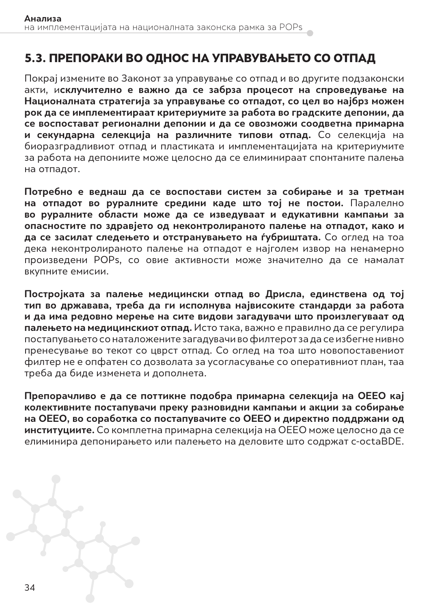## 5.3. ПРЕПОРАКИ ВО ОДНОС НА УПРАВУВАЊЕТО СО ОТПАД

Покрај измените во Законот за управување со отпад и во другите подзаконски акти, и**склучително е важно да се забрза процесот на спроведување на Националната стратегија за управување со отпадот, со цел во најбрз можен рок да се имплементираат критериумите за работа во градските депонии, да се воспостават регионални депонии и да се овозможи соодветна примарна и секундарна селекција на различните типови отпад.** Со селекција на биоразградливиот отпад и пластиката и имплементацијата на критериумите за работа на депониите може целосно да се елиминираат спонтаните палења на отпадот.

**Потребно е веднаш да се воспостави систем за собирање и за третман на отпадот во руралните средини каде што тој не постои.** Паралелно **во руралните области може да се изведуваат и едукативни кампањи за опасностите по здравјето од неконтролираното палење на отпадот, како и да се засилат следењето и отстранувањето на ѓубриштата.** Со оглед на тоа дека неконтролираното палење на отпадот е најголем извор на ненамерно произведени POPs, со овие активности може значително да се намалат вкупните емисии.

**Постројката за палење медицински отпад во Дрисла, единствена од тој тип во државава, треба да ги исполнува највисоките стандарди за работа и да има редовно мерење на сите видови загадувачи што произлегуваат од палењето на медицинскиот отпад.** Исто така, важно е правилно да се регулира постапувањето со наталожените загадувачи во филтерот за да се избегне нивно пренесување во текот со цврст отпад. Со оглед на тоа што новопоставениот филтер не е опфатен со дозволата за усогласување со оперативниот план, таа треба да биде изменета и дополнета.

**Препорачливо е да се поттикне подобра примарна селекција на ОЕЕО кај колективните постапувачи преку разновидни кампањи и акции за собирање на ОЕЕО, во соработка со постапувачите со ОЕЕО и директно поддржани од институциите.** Со комплетна примарна селекција на ОЕЕО може целосно да се елиминира депонирањето или палењето на деловите што содржат c-octaBDE.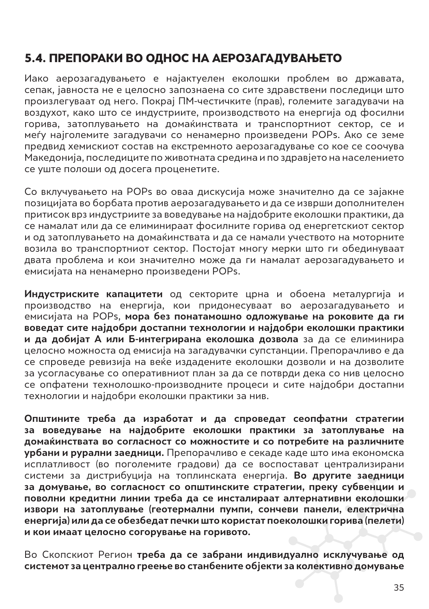### 5.4. ПРЕПОРАКИ ВО ОДНОС НА АЕРОЗАГАДУВАЊЕТО

Иако аерозагадувањето е најактуелен еколошки проблем во државата, сепак, јавноста не е целосно запознаена со сите здравствени последици што произлегуваат од него. Покрај ПМ-честичките (прав), големите загадувачи на воздухот, како што се индустриите, производството на енергија од фосилни горива, затоплувањето на домаќинствата и транспортниот сектор, се и меѓу најголемите загадувачи со ненамерно произведени POPs. Ако се земе предвид хемискиот состав на екстремното аерозагадување со кое се соочува Македонија, последиците по животната средина и по здравјето на населението се уште полоши од досега проценетите.

Со вклучувањето на POPs во оваа дискусија може значително да се зајакне позицијата во борбата против аерозагадувањето и да се изврши дополнителен притисок врз индустриите за воведување на најдобрите еколошки практики, да се намалат или да се елиминираат фосилните горива од енергетскиот сектор и од затоплувањето на домаќинствата и да се намали учеството на моторните возила во транспортниот сектор. Постојат многу мерки што ги обединуваат двата проблема и кои значително може да ги намалат аерозагадувањето и емисијата на ненамерно произведени POPs.

**Индустриските капацитети** од секторите црна и обоена металургија и производство на енергија, кои придонесуваат во аерозагадувањето и емисијата на POPs, **мора без понатамошно одложување на роковите да ги воведат сите најдобри достапни технологии и најдобри еколошки практики и да добијат А или Б-интегрирана еколошка дозвола** за да се елиминира целосно можноста од емисија на загадувачки супстанции. Препорачливо е да се спроведе ревизија на веќе издадените еколошки дозволи и на дозволите за усогласување со оперативниот план за да се потврди дека со нив целосно се опфатени технолошко-производните процеси и сите најдобри достапни технологии и најдобри еколошки практики за нив.

**Општините треба да изработат и да спроведат сеопфатни стратегии за воведување на најдобрите еколошки практики за затоплување на домаќинствата во согласност со можностите и со потребите на различните урбани и рурални заедници.** Препорачливо е секаде каде што има економска исплатливост (во поголемите градови) да се воспостават централизирани системи за дистрибуција на топлинската енергија. **Во другите заедници за домување, во согласност со општинските стратегии, преку субвенции и поволни кредитни линии треба да се инсталираат алтернативни еколошки извори на затоплување (геотермални пумпи, сончеви панели, електрична енергија) или да се обезбедат печки што користат поеколошки горива (пелети) и кои имаат целосно согорување на горивото.**

Во Скопскиот Регион **треба да се забрани индивидуално исклучување од системот за централно греење во станбените објекти за колективно домување**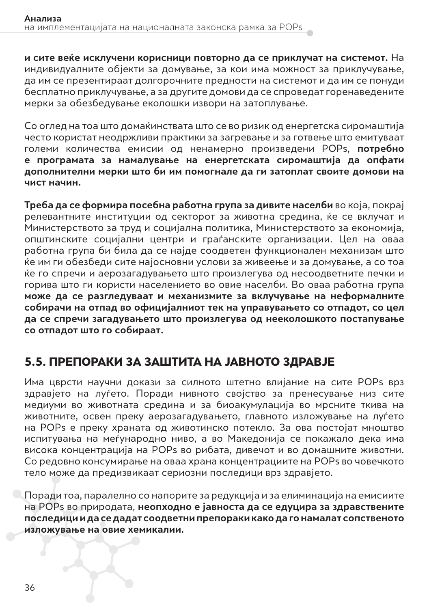**и сите веќе исклучени корисници повторно да се приклучат на системот.** На индивидуалните објекти за домување, за кои има можност за приклучување, да им се презентираат долгорочните предности на системот и да им се понуди бесплатно приклучување, а за другите домови да се спроведат горенаведените мерки за обезбедување еколошки извори на затоплување.

Со оглед на тоа што домаќинствата што се во ризик од енергетска сиромаштија често користат неодржливи практики за загревање и за готвење што емитуваат големи количества емисии од ненaмерно произведени POPs, **потребно е програмата за намалување на енергетската сиромаштија да опфати дополнителни мерки што би им помогнале да ги затоплат своите домови на чист начин.**

**Треба да се формира посебна работна група за дивите населби** во која, покрај релевантните институции од секторот за животна средина, ќе се вклучат и Министерството за труд и социјална политика, Министерството за економија, општинските социјални центри и граѓанските организации. Цел на оваа работна група би била да се најде соодветен функционален механизам што ќе им ги обезбеди сите најосновни услови за живеење и за домување, а со тоа ќе го спречи и аерозагадувањето што произлегува од несоодветните печки и горива што ги користи населението во овие населби. Во оваа работна група **може да се разгледуваат и механизмите за вклучување на неформалните собирачи на отпад во официјалниот тек на управувањето со отпадот, со цел да се спречи загадувањето што произлегува од нееколошкото постапување со отпадот што го собираат.**

### 5.5. ПРЕПОРАКИ ЗА ЗАШТИТА НА ЈАВНОТО ЗДРАВЈЕ

Има цврсти научни докази за силното штетно влијание на сите POPs врз здравјето на луѓето. Поради нивното својство за пренесување низ сите медиуми во животната средина и за биоакумулација во мрсните ткива на животните, освен преку аерозагадувањето, главното изложување на луѓето на POPs е преку храната од животинско потекло. За ова постојат мноштво испитувања на меѓународно ниво, а во Македонија се покажало дека има висока концентрација на POPs во рибата, дивечот и во домашните животни. Со редовно консумирање на оваа храна концентрациите на POPs во човечкото тело може да предизвикаат сериозни последици врз здравјето.

Поради тоа, паралелно со напорите за редукција и за елиминација на емисиите на POPs во природата, **неопходно е јавноста да се едуцира за здравствените последици и да се дадат соодветни препораки како да го намалат сопственото изложување на овие хемикалии.**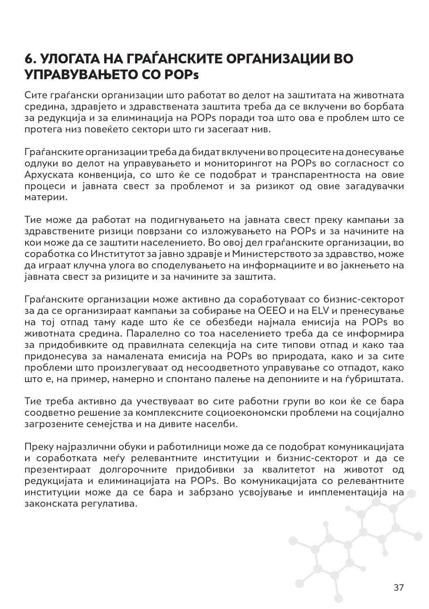## 6. УЛОГАТА НА ГРАЃАНСКИТЕ ОРГАНИЗАЦИИ ВО УПРАВУВАЊЕТО СО POPs

Сите граѓански организации што работат во делот на заштитата на животната средина, здравјето и здравствената заштита треба да се вклучени во борбата за редукција и за елиминација на POPs поради тоа што ова е проблем што се протега низ повеќето сектори што ги засегаат нив.

Граѓанските организации треба да бидат вклучени во процесите на донесување одлуки во делот на управувањето и мониторингот на POPs во согласност со Архуската конвенција, со што ќе се подобрат и транспарентноста на овие процеси и јавната свест за проблемот и за ризикот од овие загадувачки материи.

Тие може да работат на подигнувањето на јавната свест преку кампањи за здравствените ризици поврзани со изложувањето на POPs и за начините на кои може да се заштити населението. Во овој дел граѓанските организации, во соработка со Институтот за јавно здравје и Министерството за здравство, може да играат клучна улога во споделувањето на информациите и во јакнењето на јавната свест за ризиците и за начините за заштита.

Граѓанските организации може активно да соработуваат со бизнис-секторот за да се организираат кампањи за собирање на ОЕЕО и на ELV и пренесување на тој отпад таму каде што ќе се обезбеди најмала емисија на POPs во животната средина. Паралелно со тоа населението треба да се информира за придобивките од правилната селекција на сите типови отпад и како таа придонесува за намалената емисија на POPs во природата, како и за сите проблеми што произлегуваат од несоодветното управување со отпадот, како што е, на пример, намерно и спонтано палење на депониите и на ѓубриштата.

Тие треба активно да учествуваат во сите работни групи во кои ќе се бара соодветно решение за комплексните социоекономски проблеми на социјално загрозените семејства и на дивите населби.

Преку најразлични обуки и работилници може да се подобрат комуникацијата и соработката меѓу релевантните институции и бизнис-секторот и да се презентираат долгорочните придобивки за квалитетот на животот од редукцијата и елиминацијата на POPs. Во комуникацијата со релевантните институции може да се бара и забрзано усвојување и имплементација на законската регулатива.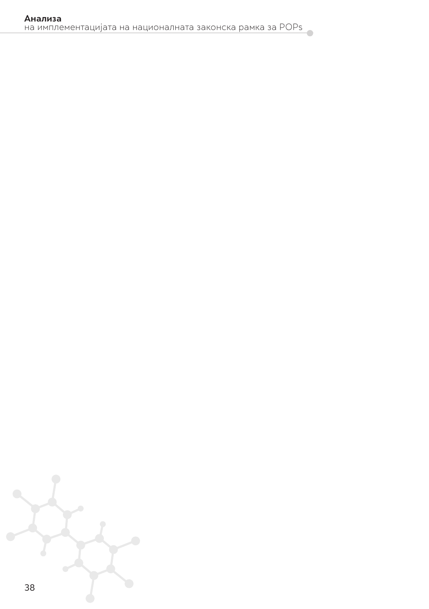38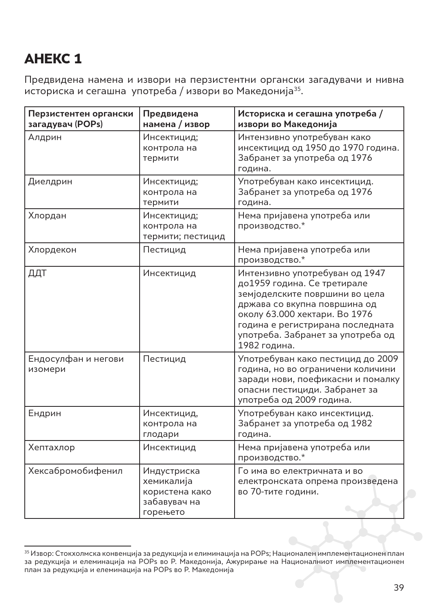Предвидена намена и извори на перзистентни органски загадувачи и нивна историска и сегашна употреба / извори во Македонија35.

| Перзистентен органски<br>загадувач (POPs) | Предвидена<br>намена / извор                                            | Историска и сегашна употреба /<br>извори во Македонија                                                                                                                                                                                                    |
|-------------------------------------------|-------------------------------------------------------------------------|-----------------------------------------------------------------------------------------------------------------------------------------------------------------------------------------------------------------------------------------------------------|
| Алдрин                                    | Инсектицид;<br>контрола на<br>термити                                   | Интензивно употребуван како<br>инсектицид од 1950 до 1970 година.<br>Забранет за употреба од 1976<br>година.                                                                                                                                              |
| Диелдрин                                  | Инсектицид;<br>контрола на<br>термити                                   | Употребуван како инсектицид.<br>Забранет за употреба од 1976<br>година.                                                                                                                                                                                   |
| Хлордан                                   | Инсектицид;<br>контрола на<br>термити; пестицид                         | Нема пријавена употреба или<br>производство.*                                                                                                                                                                                                             |
| Хлордекон                                 | Пестицид                                                                | Нема пријавена употреба или<br>производство.*                                                                                                                                                                                                             |
| ДДТ                                       | Инсектицид                                                              | Интензивно употребуван од 1947<br>до1959 година. Се третирале<br>земјоделските површини во цела<br>држава со вкупна површина од<br>околу 63.000 хектари. Во 1976<br>година е регистрирана последната<br>употреба. Забранет за употреба од<br>1982 година. |
| Ендосулфан и негови<br>изомери            | Пестицид                                                                | Употребуван како пестицид до 2009<br>година, но во ограничени количини<br>заради нови, поефикасни и помалку<br>опасни пестициди. Забранет за<br>употреба од 2009 година.                                                                                  |
| Ендрин                                    | Инсектицид,<br>контрола на<br>глодари                                   | Употребуван како инсектицид.<br>Забранет за употреба од 1982<br>година.                                                                                                                                                                                   |
| Хептахлор                                 | Инсектицид                                                              | Нема пријавена употреба или<br>производство.*                                                                                                                                                                                                             |
| Хексабромобифенил                         | Индустриска<br>хемикалија<br>користена како<br>забавувач на<br>горењето | Го има во електричната и во<br>електронската опрема произведена<br>во 70-тите години.                                                                                                                                                                     |

<sup>35</sup> Извор: Стокхолмска конвенција за редукција и елиминација на POPs; Национален имплементационен план за редукција и елеминација на POPs во Р. Македонија, Ажурирање на Националниот имплементационен план за редукција и елеминација на POPs во Р. Македонија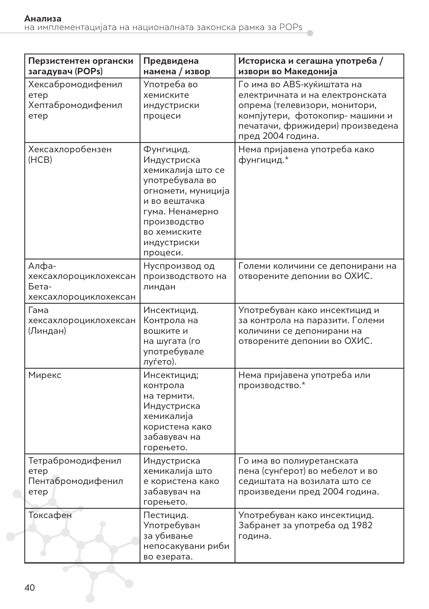| Перзистентен органски<br>загадувач (POPs)                        | Предвидена<br>намена / извор                                                                                                                                                          | Историска и сегашна употреба /<br>извори во Македонија                                                                                                                                    |
|------------------------------------------------------------------|---------------------------------------------------------------------------------------------------------------------------------------------------------------------------------------|-------------------------------------------------------------------------------------------------------------------------------------------------------------------------------------------|
| Хексабромодифенил<br>етер<br>Хептабромодифенил<br>етер           | Употреба во<br>хемиските<br>индустриски<br>процеси                                                                                                                                    | Го има во ABS-куќиштата на<br>електричната и на електронската<br>опрема (телевизори, монитори,<br>компјутери, фотокопир-машини и<br>печатачи, фрижидери) произведена<br>пред 2004 година. |
| Хексахлоробензен<br>(HCB)                                        | Фунгицид.<br>Индустриска<br>хемикалија што се<br>употребувала во<br>огномети, муниција<br>и во вештачка<br>гума. Ненамерно<br>производство<br>во хемиските<br>индустриски<br>процеси. | Нема пријавена употреба како<br>фунгицид.*                                                                                                                                                |
| Алфа-<br>хексахлороциклохексан<br>Бета-<br>хексахлороциклохексан | Нуспроизвод од<br>производството на<br>линдан                                                                                                                                         | Големи количини се депонирани на<br>отворените депонии во ОХИС.                                                                                                                           |
| Гама<br>хексахлороциклохексан<br>(Линдан)                        | Инсектицид.<br>Контрола на<br>вошките и<br>на шугата (го<br>употребувале<br>луѓето).                                                                                                  | Употребуван како инсектицид и<br>за контрола на паразити. Големи<br>количини се депонирани на<br>отворените депонии во ОХИС.                                                              |
| Мирекс                                                           | Инсектицид;<br>контрола<br>на термити.<br>Индустриска<br>хемикалија<br>користена како<br>забавувач на<br>горењето.                                                                    | Нема пријавена употреба или<br>производство.*                                                                                                                                             |
| Тетрабромодифенил<br>етер<br>Пентабромодифенил<br>етер           | Индустриска<br>хемикалија што<br>е користена како<br>забавувач на<br>горењето.                                                                                                        | Го има во полиуретанската<br>пена (сунѓерот) во мебелот и во<br>седиштата на возилата што се<br>произведени пред 2004 година.                                                             |
| Токсафен                                                         | Пестицид.<br>Употребуван<br>за убивање<br>непосакувани риби<br>во езерата.                                                                                                            | Употребуван како инсектицид.<br>Забранет за употреба од 1982<br>година.                                                                                                                   |

 $\bigcirc$ 

 $\bullet$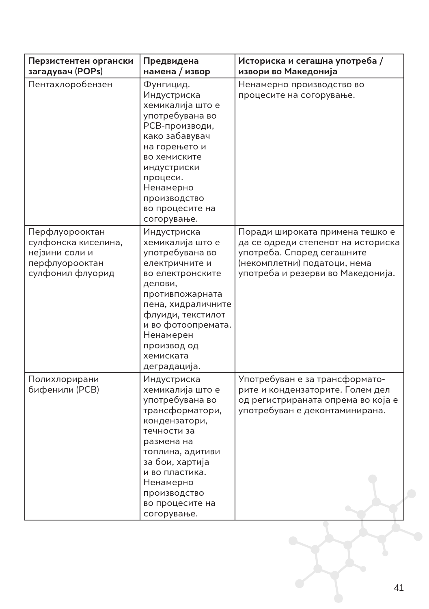| Перзистентен органски<br>загадувач (POPs)                                                     | Предвидена<br>намена / извор                                                                                                                                                                                                                     | Историска и сегашна употреба /<br>извори во Македонија                                                                                                                   |
|-----------------------------------------------------------------------------------------------|--------------------------------------------------------------------------------------------------------------------------------------------------------------------------------------------------------------------------------------------------|--------------------------------------------------------------------------------------------------------------------------------------------------------------------------|
| Пентахлоробензен                                                                              | Фунгицид.<br>Индустриска<br>хемикалија што е<br>употребувана во<br>РСВ-производи,<br>како забавувач<br>на горењето и<br>во хемиските<br>индустриски<br>процеси.<br>Ненамерно<br>производство<br>во процесите на<br>согорување.                   | Ненамерно производство во<br>процесите на согорување.                                                                                                                    |
| Перфлуорооктан<br>сулфонска киселина,<br>нејзини соли и<br>перфлуорооктан<br>сулфонил флуорид | Индустриска<br>хемикалија што е<br>употребувана во<br>електричните и<br>во електронските<br>делови,<br>противпожарната<br>пена, хидраличните<br>флуиди, текстилот<br>и во фотоопремата.<br>Ненамерен<br>производ од<br>хемиската<br>деградација. | Поради широката примена тешко е<br>да се одреди степенот на историска<br>употреба. Според сегашните<br>(некомплетни) податоци, нема<br>употреба и резерви во Македонија. |
| Полихлорирани<br>бифенили (РСВ)                                                               | Индустриска<br>хемикалија што е<br>употребувана во<br>трансформатори,<br>кондензатори,<br>течности за<br>размена на<br>топлина, адитиви<br>за бои, хартија<br>и во пластика.<br>Ненамерно<br>производство<br>во процесите на<br>согорување.      | Употребуван е за трансформато-<br>рите и кондензаторите. Голем дел<br>од регистрираната опрема во која е<br>употребуван е деконтаминирана.                               |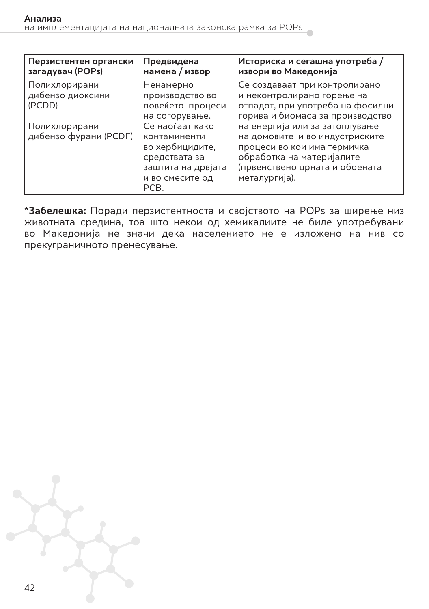| Перзистентен органски<br>загадувач (POPs) | Предвидена<br>намена / извор | Историска и сегашна употреба /<br>извори во Македонија |
|-------------------------------------------|------------------------------|--------------------------------------------------------|
| Полихлорирани                             | Ненамерно                    | Се создаваат при контролирано                          |
| дибензо диоксини                          | производство во              | и неконтролирано горење на                             |
| (PCDD)                                    | повеќето процеси             | отпадот, при употреба на фосилни                       |
|                                           | на согорување.               | горива и биомаса за производство                       |
| Полихлорирани                             | Се наоѓаат како              | на енергија или за затоплување                         |
| дибензо фурани (PCDF)                     | контаминенти                 | на домовите и во индустриските                         |
|                                           | во хербицидите,              | процеси во кои има термичка                            |
|                                           | средствата за                | обработка на материјалите                              |
|                                           | заштита на дрвјата           | (првенствено црната и обоената                         |
|                                           | и во смесите од<br>PCB.      | металургија).                                          |

**\*Забелешка:** Поради перзистентноста и својството на POPs за ширење низ животната средина, тоа што некои од хемикалиите не биле употребувани во Македонија не значи дека населението не е изложено на нив со прекуграничното пренесување.

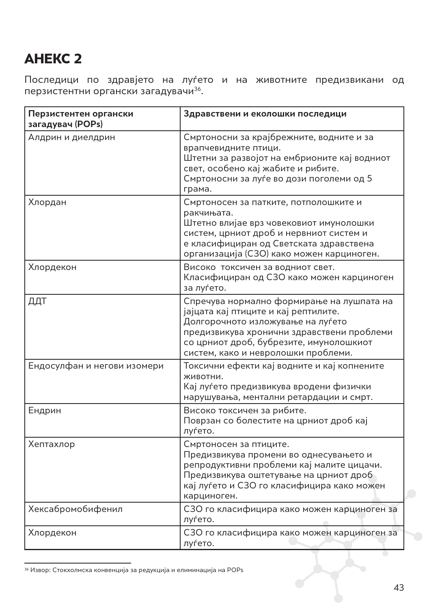Последици по здравјето на луѓето и на животните предизвикани од перзистентни органски загадувачи<sup>36</sup>.

| Перзистентен органски<br>загадувач (POPs) | Здравствени и еколошки последици                                                                                                                                                                                                                       |
|-------------------------------------------|--------------------------------------------------------------------------------------------------------------------------------------------------------------------------------------------------------------------------------------------------------|
| Алдрин и диелдрин                         | Смртоносни за крајбрежните, водните и за<br>врапчевидните птици.<br>Штетни за развојот на ембрионите кај водниот<br>свет, особено кај жабите и рибите.<br>Смртоносни за луѓе во дози поголеми од 5<br>грама.                                           |
| Хлордан                                   | Смртоносен за патките, потполошките и<br>ракчињата.<br>Штетно влијае врз човековиот имунолошки<br>систем, црниот дроб и нервниот систем и<br>е класифициран од Светската здравствена<br>организација (СЗО) како можен карциноген.                      |
| Хлордекон                                 | Високо токсичен за водниот свет.<br>Класифициран од СЗО како можен карциноген<br>за луѓето.                                                                                                                                                            |
| ДДТ                                       | Спречува нормално формирање на лушпата на<br>јајцата кај птиците и кај рептилите.<br>Долгорочното изложување на луѓето<br>предизвикува хронични здравствени проблеми<br>со црниот дроб, бубрезите, имунолошкиот<br>систем, како и невролошки проблеми. |
| Ендосулфан и негови изомери               | Токсични ефекти кај водните и кај копнените<br>ЖИВОТНИ.<br>Кај луѓето предизвикува вродени физички<br>нарушувања, ментални ретардации и смрт.                                                                                                          |
| Ендрин                                    | Високо токсичен за рибите.<br>Поврзан со болестите на црниот дроб кај<br>луѓето.                                                                                                                                                                       |
| Хептахлор                                 | Смртоносен за птиците.<br>Предизвикува промени во однесувањето и<br>репродуктивни проблеми кај малите цицачи.<br>Предизвикува оштетување на црниот дроб<br>кај луѓето и СЗО го класифицира како можен<br>карциноген.                                   |
| Хексабромобифенил                         | СЗО го класифицира како можен карциноген за<br>луѓето.                                                                                                                                                                                                 |
| Хлордекон                                 | СЗО го класифицира како можен карциноген за<br>луѓето.                                                                                                                                                                                                 |

<sup>36</sup> Извор: Стокхолмска конвенција за редукција и елиминација на POPs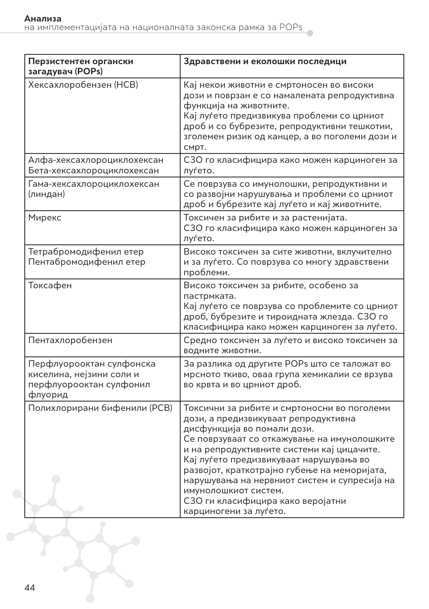| Перзистентен органски<br>загадувач (POPs)                                                  | Здравствени и еколошки последици                                                                                                                                                                                                                                                                                                                                                                                                                  |
|--------------------------------------------------------------------------------------------|---------------------------------------------------------------------------------------------------------------------------------------------------------------------------------------------------------------------------------------------------------------------------------------------------------------------------------------------------------------------------------------------------------------------------------------------------|
| Хексахлоробензен (НСВ)                                                                     | Кај некои животни е смртоносен во високи<br>дози и поврзан е со намалената репродуктивна<br>функција на животните.<br>Кај луѓето предизвикува проблеми со црниот<br>дроб и со бубрезите, репродуктивни тешкотии,<br>зголемен ризик од канцер, а во поголеми дози и<br>смрт.                                                                                                                                                                       |
| Алфа-хексахлороциклохексан<br>Бета-хексахлороциклохексан                                   | СЗО го класифицира како можен карциноген за<br>луѓето.                                                                                                                                                                                                                                                                                                                                                                                            |
| Гама-хексахлороциклохексан<br>(линдан)                                                     | Се поврзува со имунолошки, репродуктивни и<br>со развојни нарушувања и проблеми со црниот<br>дроб и бубрезите кај луѓето и кај животните.                                                                                                                                                                                                                                                                                                         |
| Мирекс                                                                                     | Токсичен за рибите и за растенијата.<br>СЗО го класифицира како можен карциноген за<br>луѓето.                                                                                                                                                                                                                                                                                                                                                    |
| Тетрабромодифенил етер<br>Пентабромодифенил етер                                           | Високо токсичен за сите животни, вклучително<br>и за луѓето. Со поврзува со многу здравствени<br>проблеми.                                                                                                                                                                                                                                                                                                                                        |
| Токсафен                                                                                   | Високо токсичен за рибите, особено за<br>пастрмката.<br>Кај луѓето се поврзува со проблемите со црниот<br>дроб, бубрезите и тироидната жлезда. СЗО го<br>класифицира како можен карциноген за луѓето.                                                                                                                                                                                                                                             |
| Пентахлоробензен                                                                           | Средно токсичен за луѓето и високо токсичен за<br>водните животни.                                                                                                                                                                                                                                                                                                                                                                                |
| Перфлуорооктан сулфонска<br>киселина, нејзини соли и<br>перфлуорооктан сулфонил<br>флуорид | За разлика од другите POPs што се таложат во<br>мрсното ткиво, оваа група хемикалии се врзува<br>во крвта и во црниот дроб.                                                                                                                                                                                                                                                                                                                       |
| Полихлорирани бифенили (РСВ)                                                               | Токсични за рибите и смртоносни во поголеми<br>дози, а предизвикуваат репродуктивна<br>дисфункција во помали дози.<br>Се поврзуваат со откажување на имунолошките<br>и на репродуктивните системи кај цицачите.<br>Кај луѓето предизвикуваат нарушувања во<br>развојот, краткотрајно губење на меморијата,<br>нарушувања на нервниот систем и супресија на<br>имунолошкиот систем.<br>СЗО ги класифицира како веројатни<br>карциногени за луѓето. |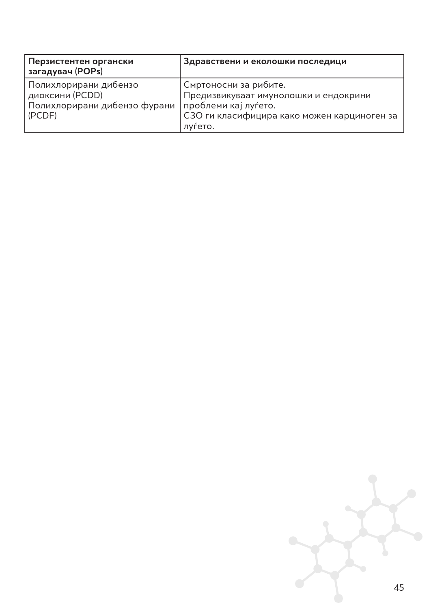| Перзистентен органски<br>загадувач (POPs)                                          | Здравствени и еколошки последици                                                                                                                 |
|------------------------------------------------------------------------------------|--------------------------------------------------------------------------------------------------------------------------------------------------|
| Полихлорирани дибензо<br>диоксини (PCDD)<br>Полихлорирани дибензо фурани<br>(PCDF) | Смртоносни за рибите.<br>Предизвикуваат имунолошки и ендокрини<br>проблеми кај луѓето.<br>СЗО ги класифицира како можен карциноген за<br>луѓето. |

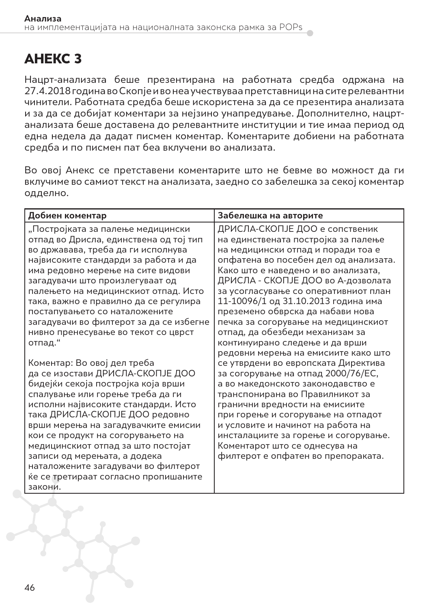Нацрт-анализата беше презентирана на работната средба одржана на 27.4.2018 година во Скопје и во неа учествуваа претставници на сите релевантни чинители. Работната средба беше искористена за да се презентира анализата и за да се добијат коментари за нејзино унапредување. Дополнително, нацртанализата беше доставена до релевантните институции и тие имаа период од една недела да дадат писмен коментар. Коментарите добиени на работната средба и по писмен пат беа вклучени во анализата.

Во овој Анекс се претставени коментарите што не бевме во можност да ги вклучиме во самиот текст на анализата, заедно со забелешка за секој коментар одделно.

| Добиен коментар                         | Забелешка на авторите                 |
|-----------------------------------------|---------------------------------------|
| "Постројката за палење медицински       | ДРИСЛА-СКОПЈЕ ДОО е сопственик        |
| отпад во Дрисла, единствена од тој тип  | на единствената постројка за палење   |
| во државава, треба да ги исполнува      | на медицински отпад и поради тоа е    |
| највисоките стандарди за работа и да    | опфатена во посебен дел од анализата. |
| има редовно мерење на сите видови       | Како што е наведено и во анализата,   |
| загадувачи што произлегуваат од         | ДРИСЛА - СКОПЈЕ ДОО во А-дозволата    |
| палењето на медицинскиот отпад. Исто    | за усогласување со оперативниот план  |
| така, важно е правилно да се регулира   | 11-10096/1 од 31.10.2013 година има   |
| постапувањето со наталожените           | преземено обврска да набави нова      |
| загадувачи во филтерот за да се избегне | печка за согорување на медицинскиот   |
| нивно пренесување во текот со цврст     | отпад, да обезбеди механизам за       |
| отпад."                                 | континуирано следење и да врши        |
|                                         | редовни мерења на емисиите како што   |
| Коментар: Во овој дел треба             | се утврдени во европската Директива   |
| да се изостави ДРИСЛА-СКОПЈЕ ДОО        | за согорување на отпад 2000/76/ЕС,    |
| бидејќи секоја постројка која врши      | а во македонското законодавство е     |
| спалување или горење треба да ги        | транспонирана во Правилникот за       |
| исполни највисоките стандарди. Исто     | гранични вредности на емисиите        |
| така ДРИСЛА-СКОПЈЕ ДОО редовно          | при горење и согорување на отпадот    |
| врши мерења на загадувачките емисии     | и условите и начинот на работа на     |
| кои се продукт на согорувањето на       | инсталациите за горење и согорување.  |
| медицинскиот отпад за што постојат      | Коментарот што се однесува на         |
| записи од мерењата, а додека            | филтерот е опфатен во препораката.    |
| наталожените загадувачи во филтерот     |                                       |
| ќе се третираат согласно пропишаните    |                                       |
| закони.                                 |                                       |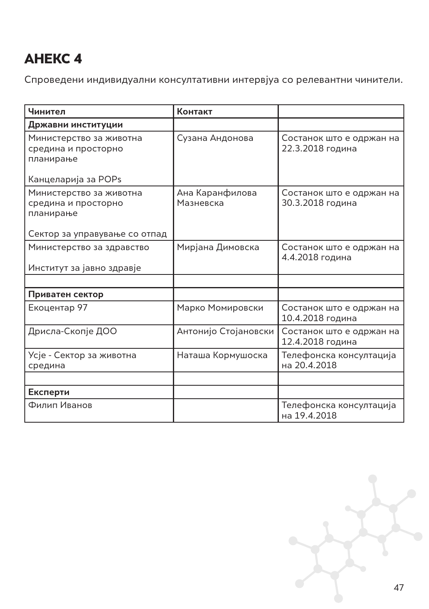Спроведени индивидуални консултативни интервјуа со релевантни чинители.

| Чинител                                                     | Контакт                      |                                              |
|-------------------------------------------------------------|------------------------------|----------------------------------------------|
| Државни институции                                          |                              |                                              |
| Министерство за животна<br>средина и просторно<br>планирање | Сузана Андонова              | Состанок што е одржан на<br>22.3.2018 година |
| Канцеларија за POPs                                         |                              |                                              |
| Министерство за животна<br>средина и просторно<br>планирање | Ана Каранфилова<br>Мазневска | Состанок што е одржан на<br>30.3.2018 година |
| Сектор за управување со отпад                               |                              |                                              |
| Министерство за здравство                                   | Мирјана Димовска             | Состанок што е одржан на<br>4.4.2018 година  |
| Институт за јавно здравје                                   |                              |                                              |
|                                                             |                              |                                              |
| Приватен сектор                                             |                              |                                              |
| Екоцентар 97                                                | Марко Момировски             | Состанок што е одржан на<br>10.4.2018 година |
| Дрисла-Скопје ДОО                                           | Антонијо Стојановски         | Состанок што е одржан на<br>12.4.2018 година |
| Усје - Сектор за животна<br>средина                         | Наташа Кормушоска            | Телефонска консултација<br>на 20.4.2018      |
|                                                             |                              |                                              |
| Експерти                                                    |                              |                                              |
| Филип Иванов                                                |                              | Телефонска консултација<br>на 19.4.2018      |

47